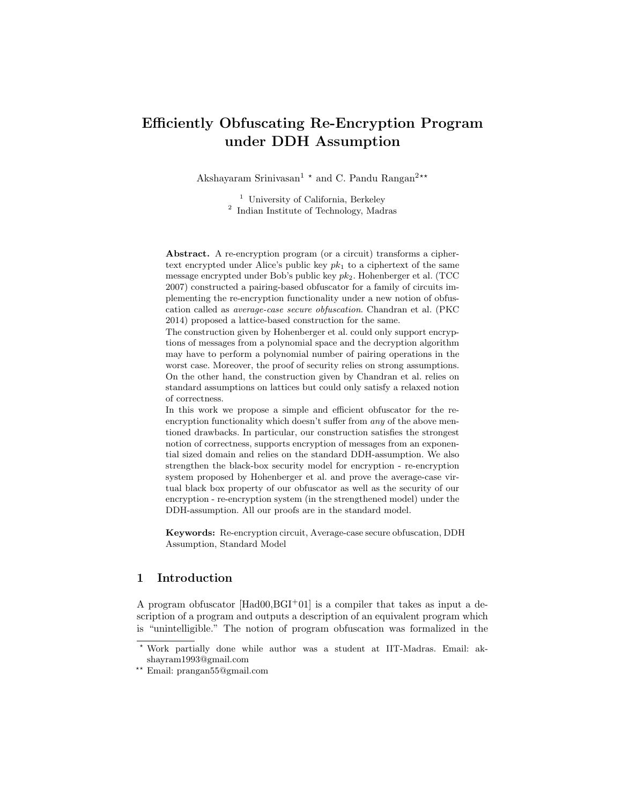# Efficiently Obfuscating Re-Encryption Program under DDH Assumption

Akshayaram Srinivasan<sup>1</sup>  $\star$  and C. Pandu Rangan<sup>2\*\*</sup>

<sup>1</sup> University of California, Berkeley 2 Indian Institute of Technology, Madras

Abstract. A re-encryption program (or a circuit) transforms a ciphertext encrypted under Alice's public key  $pk_1$  to a ciphertext of the same message encrypted under Bob's public key  $pk_2$ . Hohenberger et al. (TCC) 2007) constructed a pairing-based obfuscator for a family of circuits implementing the re-encryption functionality under a new notion of obfuscation called as average-case secure obfuscation. Chandran et al. (PKC 2014) proposed a lattice-based construction for the same.

The construction given by Hohenberger et al. could only support encryptions of messages from a polynomial space and the decryption algorithm may have to perform a polynomial number of pairing operations in the worst case. Moreover, the proof of security relies on strong assumptions. On the other hand, the construction given by Chandran et al. relies on standard assumptions on lattices but could only satisfy a relaxed notion of correctness.

In this work we propose a simple and efficient obfuscator for the reencryption functionality which doesn't suffer from *any* of the above mentioned drawbacks. In particular, our construction satisfies the strongest notion of correctness, supports encryption of messages from an exponential sized domain and relies on the standard DDH-assumption. We also strengthen the black-box security model for encryption - re-encryption system proposed by Hohenberger et al. and prove the average-case virtual black box property of our obfuscator as well as the security of our encryption - re-encryption system (in the strengthened model) under the DDH-assumption. All our proofs are in the standard model.

Keywords: Re-encryption circuit, Average-case secure obfuscation, DDH Assumption, Standard Model

# 1 Introduction

A program obfuscator  $[Had00, BGI^+01]$  is a compiler that takes as input a description of a program and outputs a description of an equivalent program which is "unintelligible." The notion of program obfuscation was formalized in the

<sup>?</sup> Work partially done while author was a student at IIT-Madras. Email: akshayram1993@gmail.com

<sup>??</sup> Email: prangan55@gmail.com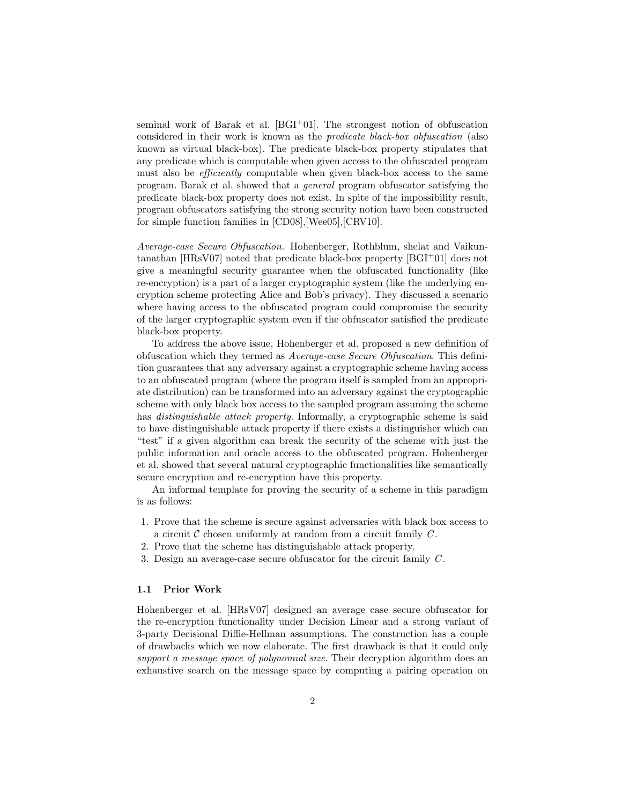seminal work of Barak et al. [BGI+01]. The strongest notion of obfuscation considered in their work is known as the predicate black-box obfuscation (also known as virtual black-box). The predicate black-box property stipulates that any predicate which is computable when given access to the obfuscated program must also be *efficiently* computable when given black-box access to the same program. Barak et al. showed that a general program obfuscator satisfying the predicate black-box property does not exist. In spite of the impossibility result, program obfuscators satisfying the strong security notion have been constructed for simple function families in [CD08],[Wee05],[CRV10].

Average-case Secure Obfuscation. Hohenberger, Rothblum, shelat and Vaikuntanathan [HRsV07] noted that predicate black-box property [BGI+01] does not give a meaningful security guarantee when the obfuscated functionality (like re-encryption) is a part of a larger cryptographic system (like the underlying encryption scheme protecting Alice and Bob's privacy). They discussed a scenario where having access to the obfuscated program could compromise the security of the larger cryptographic system even if the obfuscator satisfied the predicate black-box property.

To address the above issue, Hohenberger et al. proposed a new definition of obfuscation which they termed as Average-case Secure Obfuscation. This definition guarantees that any adversary against a cryptographic scheme having access to an obfuscated program (where the program itself is sampled from an appropriate distribution) can be transformed into an adversary against the cryptographic scheme with only black box access to the sampled program assuming the scheme has *distinguishable attack property*. Informally, a cryptographic scheme is said to have distinguishable attack property if there exists a distinguisher which can "test" if a given algorithm can break the security of the scheme with just the public information and oracle access to the obfuscated program. Hohenberger et al. showed that several natural cryptographic functionalities like semantically secure encryption and re-encryption have this property.

An informal template for proving the security of a scheme in this paradigm is as follows:

- 1. Prove that the scheme is secure against adversaries with black box access to a circuit  $\mathcal C$  chosen uniformly at random from a circuit family  $C$ .
- 2. Prove that the scheme has distinguishable attack property.
- 3. Design an average-case secure obfuscator for the circuit family  $C$ .

### 1.1 Prior Work

Hohenberger et al. [HRsV07] designed an average case secure obfuscator for the re-encryption functionality under Decision Linear and a strong variant of 3-party Decisional Diffie-Hellman assumptions. The construction has a couple of drawbacks which we now elaborate. The first drawback is that it could only support a message space of polynomial size. Their decryption algorithm does an exhaustive search on the message space by computing a pairing operation on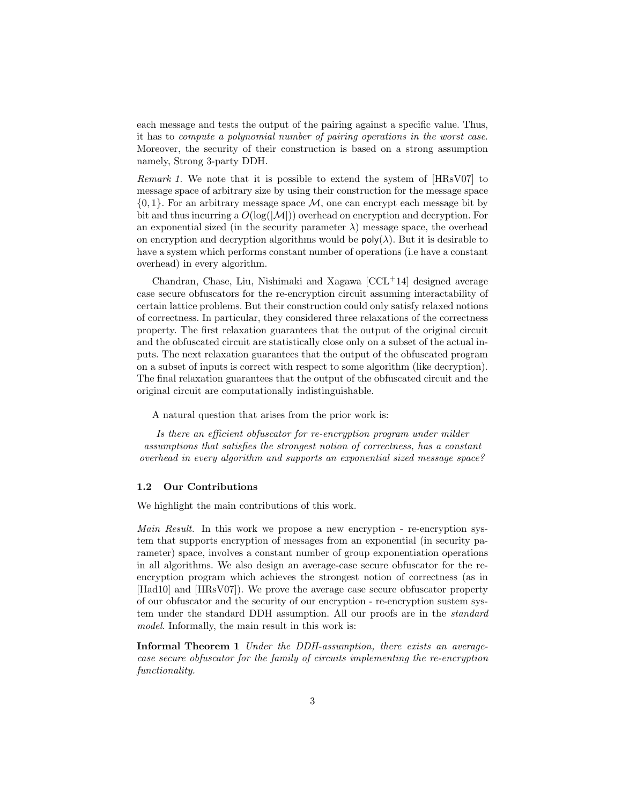each message and tests the output of the pairing against a specific value. Thus, it has to compute a polynomial number of pairing operations in the worst case. Moreover, the security of their construction is based on a strong assumption namely, Strong 3-party DDH.

Remark 1. We note that it is possible to extend the system of [HRsV07] to message space of arbitrary size by using their construction for the message space  $\{0, 1\}$ . For an arbitrary message space  $\mathcal{M}$ , one can encrypt each message bit by bit and thus incurring a  $O(\log(|\mathcal{M}|))$  overhead on encryption and decryption. For an exponential sized (in the security parameter  $\lambda$ ) message space, the overhead on encryption and decryption algorithms would be  $\mathsf{poly}(\lambda)$ . But it is desirable to have a system which performs constant number of operations (i.e have a constant overhead) in every algorithm.

Chandran, Chase, Liu, Nishimaki and Xagawa  $[CL<sup>+</sup>14]$  designed average case secure obfuscators for the re-encryption circuit assuming interactability of certain lattice problems. But their construction could only satisfy relaxed notions of correctness. In particular, they considered three relaxations of the correctness property. The first relaxation guarantees that the output of the original circuit and the obfuscated circuit are statistically close only on a subset of the actual inputs. The next relaxation guarantees that the output of the obfuscated program on a subset of inputs is correct with respect to some algorithm (like decryption). The final relaxation guarantees that the output of the obfuscated circuit and the original circuit are computationally indistinguishable.

A natural question that arises from the prior work is:

Is there an efficient obfuscator for re-encryption program under milder assumptions that satisfies the strongest notion of correctness, has a constant overhead in every algorithm and supports an exponential sized message space?

# 1.2 Our Contributions

We highlight the main contributions of this work.

Main Result. In this work we propose a new encryption - re-encryption system that supports encryption of messages from an exponential (in security parameter) space, involves a constant number of group exponentiation operations in all algorithms. We also design an average-case secure obfuscator for the reencryption program which achieves the strongest notion of correctness (as in [Had10] and [HRsV07]). We prove the average case secure obfuscator property of our obfuscator and the security of our encryption - re-encryption sustem system under the standard DDH assumption. All our proofs are in the standard model. Informally, the main result in this work is:

Informal Theorem 1 Under the DDH-assumption, there exists an averagecase secure obfuscator for the family of circuits implementing the re-encryption functionality.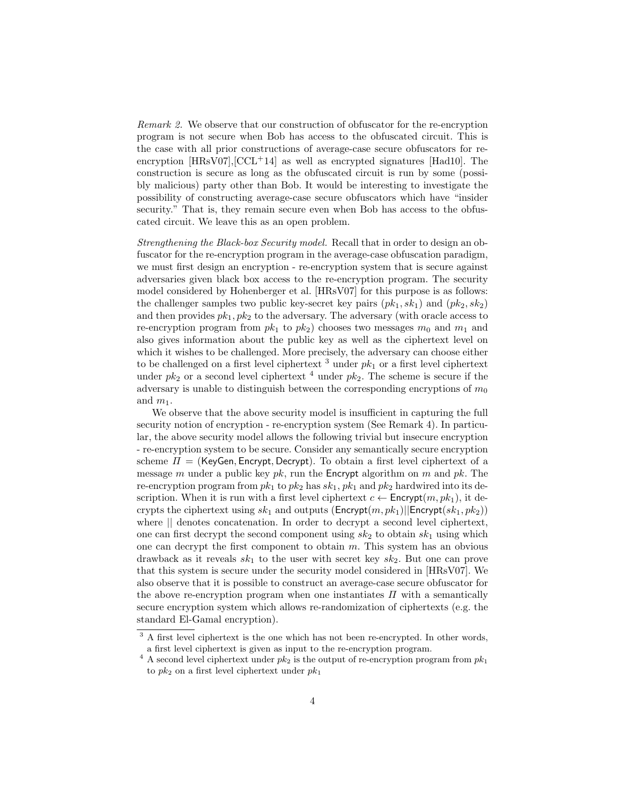Remark 2. We observe that our construction of obfuscator for the re-encryption program is not secure when Bob has access to the obfuscated circuit. This is the case with all prior constructions of average-case secure obfuscators for reencryption  $[HRsV07]$ ,  $[CCL+14]$  as well as encrypted signatures  $[Had10]$ . The construction is secure as long as the obfuscated circuit is run by some (possibly malicious) party other than Bob. It would be interesting to investigate the possibility of constructing average-case secure obfuscators which have "insider security." That is, they remain secure even when Bob has access to the obfuscated circuit. We leave this as an open problem.

Strengthening the Black-box Security model. Recall that in order to design an obfuscator for the re-encryption program in the average-case obfuscation paradigm, we must first design an encryption - re-encryption system that is secure against adversaries given black box access to the re-encryption program. The security model considered by Hohenberger et al. [HRsV07] for this purpose is as follows: the challenger samples two public key-secret key pairs  $(pk_1, sk_1)$  and  $(pk_2, sk_2)$ and then provides  $pk_1, pk_2$  to the adversary. The adversary (with oracle access to re-encryption program from  $pk_1$  to  $pk_2$ ) chooses two messages  $m_0$  and  $m_1$  and also gives information about the public key as well as the ciphertext level on which it wishes to be challenged. More precisely, the adversary can choose either to be challenged on a first level ciphertext  $3$  under  $pk_1$  or a first level ciphertext under  $pk_2$  or a second level ciphertext<sup>4</sup> under  $pk_2$ . The scheme is secure if the adversary is unable to distinguish between the corresponding encryptions of  $m_0$ and  $m_1$ .

We observe that the above security model is insufficient in capturing the full security notion of encryption - re-encryption system (See Remark 4). In particular, the above security model allows the following trivial but insecure encryption - re-encryption system to be secure. Consider any semantically secure encryption scheme  $\Pi =$  (KeyGen, Encrypt, Decrypt). To obtain a first level ciphertext of a message m under a public key pk, run the Encrypt algorithm on m and pk. The re-encryption program from  $pk_1$  to  $pk_2$  has  $sk_1$ ,  $pk_1$  and  $pk_2$  hardwired into its description. When it is run with a first level ciphertext  $c \leftarrow$  Encrypt $(m, pk_1)$ , it decrypts the ciphertext using  $sk_1$  and outputs (Encrypt $(m, pk_1)$ ||Encrypt $(sk_1, pk_2)$ ) where || denotes concatenation. In order to decrypt a second level ciphertext, one can first decrypt the second component using  $sk_2$  to obtain  $sk_1$  using which one can decrypt the first component to obtain  $m$ . This system has an obvious drawback as it reveals  $sk_1$  to the user with secret key  $sk_2$ . But one can prove that this system is secure under the security model considered in [HRsV07]. We also observe that it is possible to construct an average-case secure obfuscator for the above re-encryption program when one instantiates  $\Pi$  with a semantically secure encryption system which allows re-randomization of ciphertexts (e.g. the standard El-Gamal encryption).

<sup>&</sup>lt;sup>3</sup> A first level ciphertext is the one which has not been re-encrypted. In other words, a first level ciphertext is given as input to the re-encryption program.

<sup>&</sup>lt;sup>4</sup> A second level ciphertext under  $pk_2$  is the output of re-encryption program from  $pk_1$ to  $pk_2$  on a first level ciphertext under  $pk_1$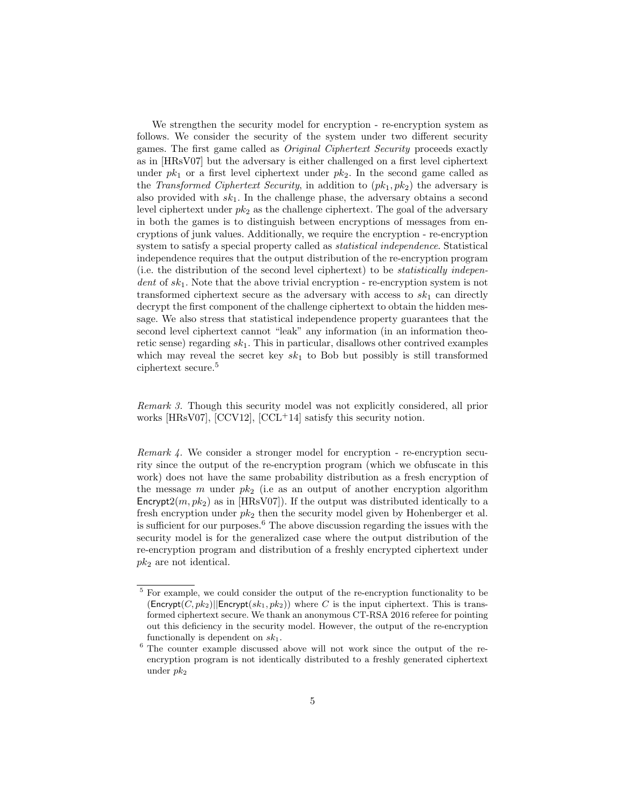We strengthen the security model for encryption - re-encryption system as follows. We consider the security of the system under two different security games. The first game called as Original Ciphertext Security proceeds exactly as in [HRsV07] but the adversary is either challenged on a first level ciphertext under  $pk_1$  or a first level ciphertext under  $pk_2$ . In the second game called as the Transformed Ciphertext Security, in addition to  $(pk_1, pk_2)$  the adversary is also provided with  $sk_1$ . In the challenge phase, the adversary obtains a second level ciphertext under  $pk_2$  as the challenge ciphertext. The goal of the adversary in both the games is to distinguish between encryptions of messages from encryptions of junk values. Additionally, we require the encryption - re-encryption system to satisfy a special property called as statistical independence. Statistical independence requires that the output distribution of the re-encryption program (i.e. the distribution of the second level ciphertext) to be statistically indepen $dent\ of\ sk_1$ . Note that the above trivial encryption - re-encryption system is not transformed ciphertext secure as the adversary with access to  $sk_1$  can directly decrypt the first component of the challenge ciphertext to obtain the hidden message. We also stress that statistical independence property guarantees that the second level ciphertext cannot "leak" any information (in an information theoretic sense) regarding  $sk_1$ . This in particular, disallows other contrived examples which may reveal the secret key  $sk_1$  to Bob but possibly is still transformed ciphertext secure.<sup>5</sup>

Remark 3. Though this security model was not explicitly considered, all prior works [HRsV07], [CCV12],  $[CCL+14]$  satisfy this security notion.

Remark 4. We consider a stronger model for encryption - re-encryption security since the output of the re-encryption program (which we obfuscate in this work) does not have the same probability distribution as a fresh encryption of the message m under  $pk_2$  (i.e as an output of another encryption algorithm Encrypt $2(m, pk_2)$  as in [HRsV07]). If the output was distributed identically to a fresh encryption under  $pk_2$  then the security model given by Hohenberger et al. is sufficient for our purposes. $6$  The above discussion regarding the issues with the security model is for the generalized case where the output distribution of the re-encryption program and distribution of a freshly encrypted ciphertext under  $pk<sub>2</sub>$  are not identical.

<sup>5</sup> For example, we could consider the output of the re-encryption functionality to be  $(ensure{(\text{Encrypt}(C, pk_2)}||\text{Encrypt}(sk_1, pk_2))$  where C is the input ciphertext. This is transformed ciphertext secure. We thank an anonymous CT-RSA 2016 referee for pointing out this deficiency in the security model. However, the output of the re-encryption functionally is dependent on  $sk_1$ .

<sup>6</sup> The counter example discussed above will not work since the output of the reencryption program is not identically distributed to a freshly generated ciphertext under  $pk<sub>2</sub>$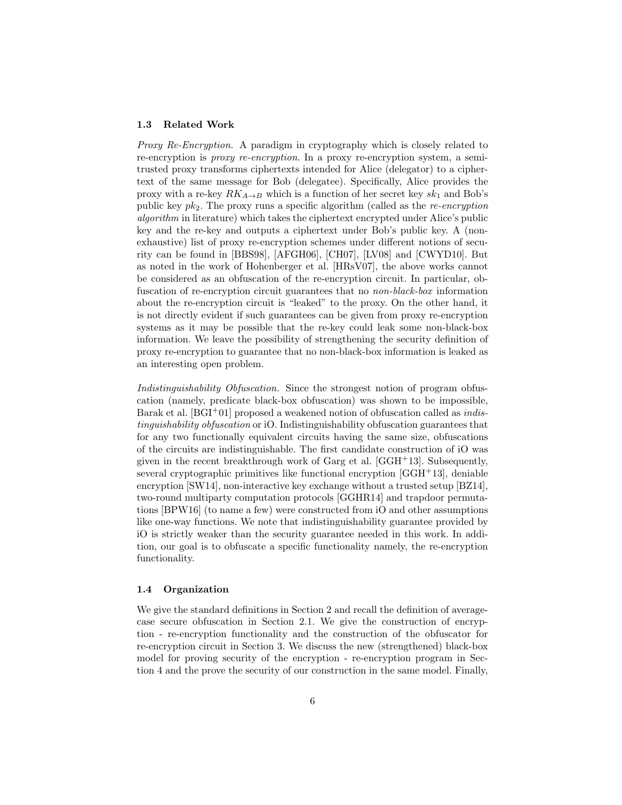#### 1.3 Related Work

Proxy Re-Encryption. A paradigm in cryptography which is closely related to re-encryption is proxy re-encryption. In a proxy re-encryption system, a semitrusted proxy transforms ciphertexts intended for Alice (delegator) to a ciphertext of the same message for Bob (delegatee). Specifically, Alice provides the proxy with a re-key  $RK_{A\rightarrow B}$  which is a function of her secret key  $sk_1$  and Bob's public key  $pk_2$ . The proxy runs a specific algorithm (called as the *re-encryption* algorithm in literature) which takes the ciphertext encrypted under Alice's public key and the re-key and outputs a ciphertext under Bob's public key. A (nonexhaustive) list of proxy re-encryption schemes under different notions of security can be found in [BBS98], [AFGH06], [CH07], [LV08] and [CWYD10]. But as noted in the work of Hohenberger et al. [HRsV07], the above works cannot be considered as an obfuscation of the re-encryption circuit. In particular, obfuscation of re-encryption circuit guarantees that no non-black-box information about the re-encryption circuit is "leaked" to the proxy. On the other hand, it is not directly evident if such guarantees can be given from proxy re-encryption systems as it may be possible that the re-key could leak some non-black-box information. We leave the possibility of strengthening the security definition of proxy re-encryption to guarantee that no non-black-box information is leaked as an interesting open problem.

Indistinguishability Obfuscation. Since the strongest notion of program obfuscation (namely, predicate black-box obfuscation) was shown to be impossible, Barak et al.  $[BGI^+01]$  proposed a weakened notion of obfuscation called as *indis*tinguishability obfuscation or iO. Indistinguishability obfuscation guarantees that for any two functionally equivalent circuits having the same size, obfuscations of the circuits are indistinguishable. The first candidate construction of iO was given in the recent breakthrough work of Garg et al.  $[GGH^+13]$ . Subsequently, several cryptographic primitives like functional encryption  $[GGH<sup>+</sup>13]$ , deniable encryption [SW14], non-interactive key exchange without a trusted setup [BZ14], two-round multiparty computation protocols [GGHR14] and trapdoor permutations [BPW16] (to name a few) were constructed from iO and other assumptions like one-way functions. We note that indistinguishability guarantee provided by iO is strictly weaker than the security guarantee needed in this work. In addition, our goal is to obfuscate a specific functionality namely, the re-encryption functionality.

### 1.4 Organization

We give the standard definitions in Section 2 and recall the definition of averagecase secure obfuscation in Section 2.1. We give the construction of encryption - re-encryption functionality and the construction of the obfuscator for re-encryption circuit in Section 3. We discuss the new (strengthened) black-box model for proving security of the encryption - re-encryption program in Section 4 and the prove the security of our construction in the same model. Finally,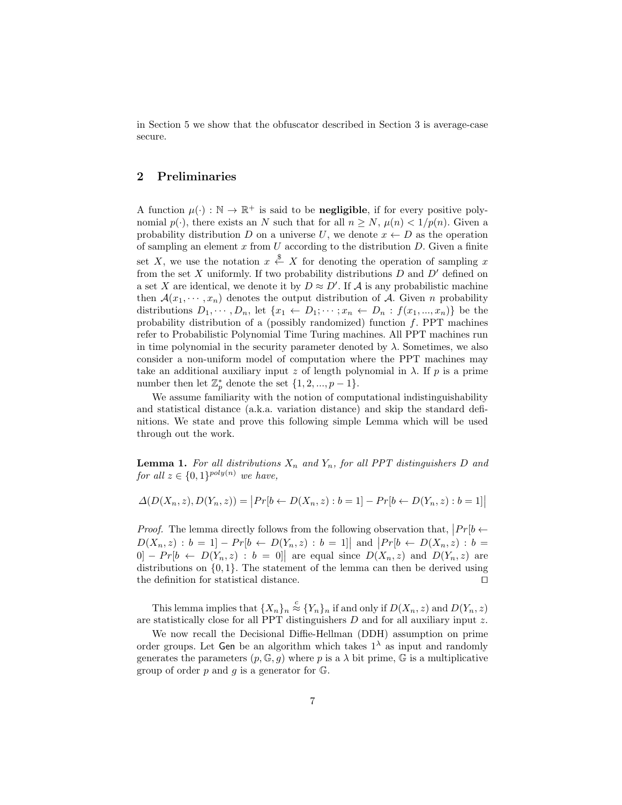in Section 5 we show that the obfuscator described in Section 3 is average-case secure.

# 2 Preliminaries

A function  $\mu(\cdot) : \mathbb{N} \to \mathbb{R}^+$  is said to be **negligible**, if for every positive polynomial  $p(\cdot)$ , there exists an N such that for all  $n > N$ ,  $\mu(n) < 1/p(n)$ . Given a probability distribution D on a universe U, we denote  $x \leftarrow D$  as the operation of sampling an element  $x$  from  $U$  according to the distribution  $D$ . Given a finite set X, we use the notation  $x \stackrel{\$}{\leftarrow} X$  for denoting the operation of sampling x from the set  $X$  uniformly. If two probability distributions  $D$  and  $D'$  defined on a set X are identical, we denote it by  $D \approx D'$ . If A is any probabilistic machine then  $\mathcal{A}(x_1, \dots, x_n)$  denotes the output distribution of A. Given n probability distributions  $D_1, \dots, D_n$ , let  $\{x_1 \leftarrow D_1; \dots; x_n \leftarrow D_n : f(x_1, \dots, x_n)\}$  be the probability distribution of a (possibly randomized) function  $f$ . PPT machines refer to Probabilistic Polynomial Time Turing machines. All PPT machines run in time polynomial in the security parameter denoted by  $\lambda$ . Sometimes, we also consider a non-uniform model of computation where the PPT machines may take an additional auxiliary input z of length polynomial in  $\lambda$ . If p is a prime number then let  $\mathbb{Z}_p^*$  denote the set  $\{1, 2, ..., p-1\}$ .

We assume familiarity with the notion of computational indistinguishability and statistical distance (a.k.a. variation distance) and skip the standard definitions. We state and prove this following simple Lemma which will be used through out the work.

**Lemma 1.** For all distributions  $X_n$  and  $Y_n$ , for all PPT distinguishers D and for all  $z \in \{0,1\}^{poly(n)}$  we have,

$$
\Delta(D(X_n, z), D(Y_n, z)) = |Pr[b \leftarrow D(X_n, z) : b = 1] - Pr[b \leftarrow D(Y_n, z) : b = 1]|
$$

*Proof.* The lemma directly follows from the following observation that,  $|Pr[b \leftarrow$  $D(X_n, z) : b = 1] - Pr[b \leftarrow D(Y_n, z) : b = 1]$  and  $|Pr[b \leftarrow D(X_n, z) : b = 1]$  $[0] - Pr[b \leftarrow D(Y_n, z) : b = 0]$  are equal since  $D(X_n, z)$  and  $D(Y_n, z)$  are distributions on {0, 1}. The statement of the lemma can then be derived using the definition for statistical distance.  $\Box$ 

This lemma implies that  $\{X_n\}_n \stackrel{c}{\approx} \{Y_n\}_n$  if and only if  $D(X_n, z)$  and  $D(Y_n, z)$ are statistically close for all PPT distinguishers D and for all auxiliary input z.

We now recall the Decisional Diffie-Hellman (DDH) assumption on prime order groups. Let Gen be an algorithm which takes  $1^{\lambda}$  as input and randomly generates the parameters  $(p, \mathbb{G}, g)$  where p is a  $\lambda$  bit prime,  $\mathbb{G}$  is a multiplicative group of order  $p$  and  $q$  is a generator for  $\mathbb{G}$ .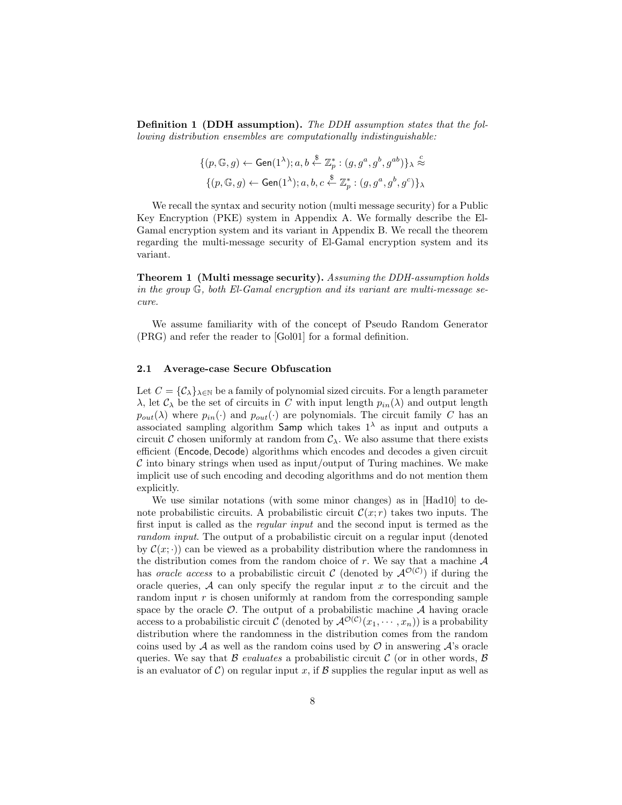Definition 1 (DDH assumption). The DDH assumption states that the following distribution ensembles are computationally indistinguishable:

$$
\begin{aligned} &\{(p,\mathbb{G},g) \leftarrow \mathsf{Gen}(1^{\lambda}); a,b \stackrel{\$}{\leftarrow} \mathbb{Z}_p^* : (g,g^a,g^b,g^{ab})\}_\lambda \stackrel{c}{\approx} \\ &\{(p,\mathbb{G},g) \leftarrow \mathsf{Gen}(1^{\lambda}); a,b,c \stackrel{\$}{\leftarrow} \mathbb{Z}_p^* : (g,g^a,g^b,g^c)\}_\lambda \end{aligned}
$$

We recall the syntax and security notion (multi message security) for a Public Key Encryption (PKE) system in Appendix A. We formally describe the El-Gamal encryption system and its variant in Appendix B. We recall the theorem regarding the multi-message security of El-Gamal encryption system and its variant.

Theorem 1 (Multi message security). Assuming the DDH-assumption holds in the group G, both El-Gamal encryption and its variant are multi-message secure.

We assume familiarity with of the concept of Pseudo Random Generator (PRG) and refer the reader to [Gol01] for a formal definition.

### 2.1 Average-case Secure Obfuscation

Let  $C = {\mathcal{C}}_{\lambda}$ ,  $\lambda \in \mathbb{N}$  be a family of polynomial sized circuits. For a length parameter  $\lambda$ , let  $\mathcal{C}_{\lambda}$  be the set of circuits in C with input length  $p_{in}(\lambda)$  and output length  $p_{out}(\lambda)$  where  $p_{in}(\cdot)$  and  $p_{out}(\cdot)$  are polynomials. The circuit family C has an associated sampling algorithm Samp which takes  $1<sup>\lambda</sup>$  as input and outputs a circuit C chosen uniformly at random from  $C_{\lambda}$ . We also assume that there exists efficient (Encode, Decode) algorithms which encodes and decodes a given circuit  $\mathcal C$  into binary strings when used as input/output of Turing machines. We make implicit use of such encoding and decoding algorithms and do not mention them explicitly.

We use similar notations (with some minor changes) as in [Had10] to denote probabilistic circuits. A probabilistic circuit  $\mathcal{C}(x; r)$  takes two inputs. The first input is called as the regular input and the second input is termed as the random input. The output of a probabilistic circuit on a regular input (denoted by  $\mathcal{C}(x; \cdot)$  can be viewed as a probability distribution where the randomness in the distribution comes from the random choice of r. We say that a machine  $A$ has *oracle access* to a probabilistic circuit C (denoted by  $\mathcal{A}^{\mathcal{O}(\mathcal{C})}$ ) if during the oracle queries,  $A$  can only specify the regular input  $x$  to the circuit and the random input  $r$  is chosen uniformly at random from the corresponding sample space by the oracle  $\mathcal{O}$ . The output of a probabilistic machine  $\mathcal A$  having oracle access to a probabilistic circuit C (denoted by  $\mathcal{A}^{\mathcal{O}(\mathcal{C})}(x_1,\cdots,x_n)$ ) is a probability distribution where the randomness in the distribution comes from the random coins used by  $A$  as well as the random coins used by  $\mathcal O$  in answering  $A$ 's oracle queries. We say that  $\beta$  evaluates a probabilistic circuit  $\beta$  (or in other words,  $\beta$ ) is an evaluator of C) on regular input x, if B supplies the regular input as well as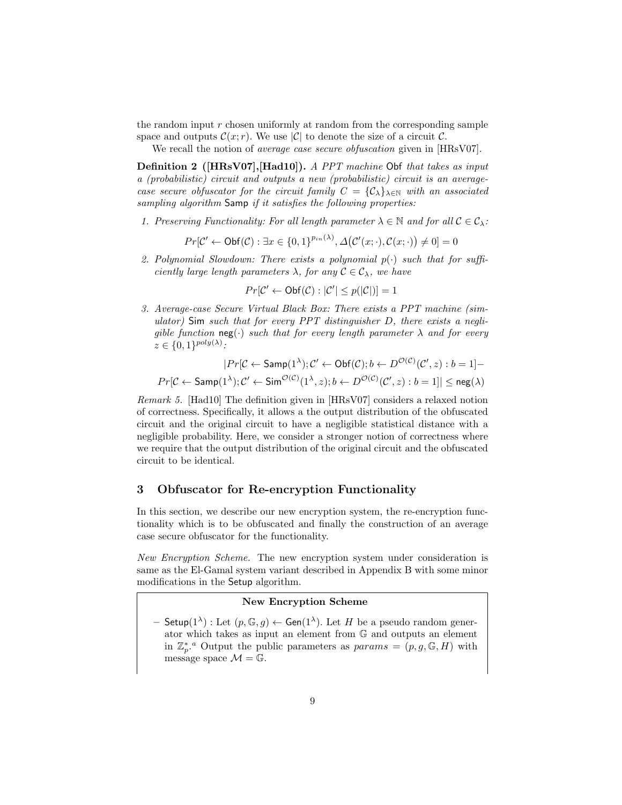the random input  $r$  chosen uniformly at random from the corresponding sample space and outputs  $\mathcal{C}(x; r)$ . We use |C| to denote the size of a circuit C.

We recall the notion of *average case secure obfuscation* given in [HRsV07].

Definition 2 ([HRsV07],[Had10]). A PPT machine Obf that takes as input a (probabilistic) circuit and outputs a new (probabilistic) circuit is an averagecase secure obfuscator for the circuit family  $C = {\mathcal{C}}_{\lambda}$ , with an associated sampling algorithm Samp if it satisfies the following properties:

1. Preserving Functionality: For all length parameter  $\lambda \in \mathbb{N}$  and for all  $\mathcal{C} \in \mathcal{C}_{\lambda}$ :

$$
Pr[\mathcal{C}' \leftarrow \mathsf{Obf}(\mathcal{C}) : \exists x \in \{0, 1\}^{p_{in}(\lambda)}, \Delta(\mathcal{C}'(x; \cdot), \mathcal{C}(x; \cdot)) \neq 0] = 0
$$

2. Polynomial Slowdown: There exists a polynomial  $p(\cdot)$  such that for sufficiently large length parameters  $\lambda$ , for any  $\mathcal{C} \in \mathcal{C}_{\lambda}$ , we have

$$
Pr[\mathcal{C}' \leftarrow \mathsf{Obf}(\mathcal{C}) : |\mathcal{C}'| \le p(|\mathcal{C}|)] = 1
$$

3. Average-case Secure Virtual Black Box: There exists a PPT machine (simulator) Sim such that for every  $PPT$  distinguisher D, there exists a negligible function  $\text{neg}(\cdot)$  such that for every length parameter  $\lambda$  and for every  $z \in \{0,1\}^{poly(\lambda)}$ :

$$
|Pr[\mathcal{C} \leftarrow \textsf{Samp}(1^{\lambda}); \mathcal{C}' \leftarrow \textsf{Obf}(\mathcal{C}); b \leftarrow D^{\mathcal{O}(\mathcal{C})}(\mathcal{C}', z) : b = 1] -
$$
  

$$
Pr[\mathcal{C} \leftarrow \textsf{Samp}(1^{\lambda}); \mathcal{C}' \leftarrow \textsf{Sim}^{\mathcal{O}(\mathcal{C})}(1^{\lambda}, z); b \leftarrow D^{\mathcal{O}(\mathcal{C})}(\mathcal{C}', z) : b = 1]| \leq \textsf{neg}(\lambda)
$$

Remark 5. [Had10] The definition given in [HRsV07] considers a relaxed notion of correctness. Specifically, it allows a the output distribution of the obfuscated circuit and the original circuit to have a negligible statistical distance with a negligible probability. Here, we consider a stronger notion of correctness where we require that the output distribution of the original circuit and the obfuscated circuit to be identical.

# 3 Obfuscator for Re-encryption Functionality

In this section, we describe our new encryption system, the re-encryption functionality which is to be obfuscated and finally the construction of an average case secure obfuscator for the functionality.

New Encryption Scheme. The new encryption system under consideration is same as the El-Gamal system variant described in Appendix B with some minor modifications in the Setup algorithm.

# New Encryption Scheme

 $-$  Setup( $1^{\lambda}$ ) : Let  $(p, \mathbb{G}, g) \leftarrow$  Gen( $1^{\lambda}$ ). Let H be a pseudo random generator which takes as input an element from G and outputs an element in  $\mathbb{Z}_p^*$  Output the public parameters as  $params = (p, g, \mathbb{G}, H)$  with message space  $\mathcal{M} = \mathbb{G}$ .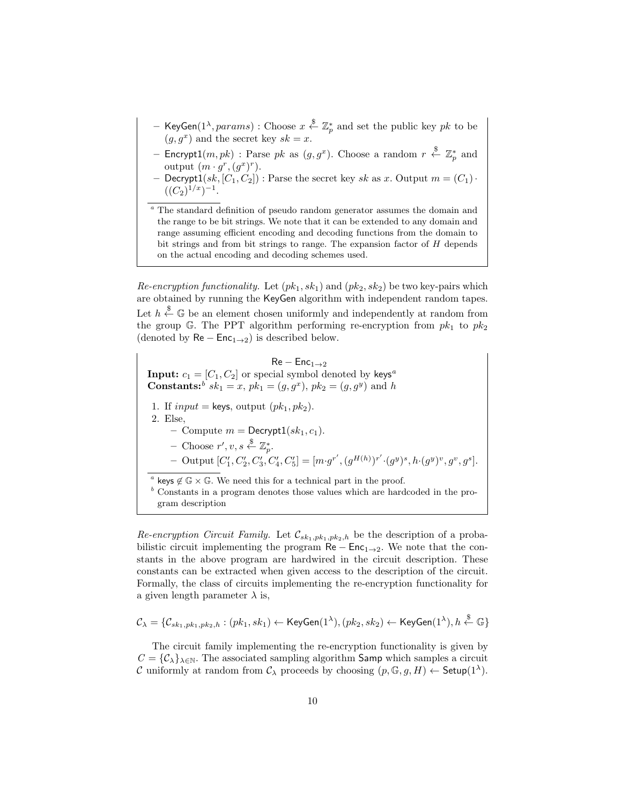- KeyGen $(1^\lambda,params)$  : Choose  $x \stackrel{\$}{\leftarrow} \mathbb{Z}_p^*$  and set the public key  $pk$  to be  $(g, g^x)$  and the secret key  $sk = x$ .
- Encrypt $1(m,pk)$  : Parse  $pk$  as  $(g,g^x)$ . Choose a random  $r \stackrel{\$}{\leftarrow} \mathbb{Z}_p^*$  and output  $(m \cdot g^r, (g^x)^r)$ .
- Decrypt1(sk,  $[C_1, C_2]$ ) : Parse the secret key sk as x. Output  $m = (C_1)$ .  $((C_2)^{1/x})^{-1}.$
- $^a$  The standard definition of pseudo random generator assumes the domain and the range to be bit strings. We note that it can be extended to any domain and range assuming efficient encoding and decoding functions from the domain to bit strings and from bit strings to range. The expansion factor of  $H$  depends on the actual encoding and decoding schemes used.

Re-encryption functionality. Let  $(pk_1, sk_1)$  and  $(pk_2, sk_2)$  be two key-pairs which are obtained by running the KeyGen algorithm with independent random tapes. Let  $h \stackrel{\$}{\leftarrow} \mathbb{G}$  be an element chosen uniformly and independently at random from the group G. The PPT algorithm performing re-encryption from  $pk_1$  to  $pk_2$ (denoted by  $\text{Re} - \text{Enc}_{1\rightarrow 2}$ ) is described below.

 $\mathsf{Re} - \mathsf{Enc}_{1 \to 2}$ **Input:**  $c_1 = [C_1, C_2]$  or special symbol denoted by keys<sup>a</sup> **Constants:**<sup>b</sup>  $sk_1 = x$ ,  $pk_1 = (g, g^x)$ ,  $pk_2 = (g, g^y)$  and h 1. If  $input = \text{keys}$ , output  $(pk_1, pk_2)$ . 2. Else, – Compute  $m = \text{Decrypt1}(sk_1, c_1)$ .  $-$  Choose  $r', v, s \stackrel{\$}{\leftarrow} \mathbb{Z}_p^*$ . - Output  $[C'_1, C'_2, C'_3, C'_4, C'_5] = [m \cdot g^{r'}, (g^{H(h)})^{r'} \cdot (g^y)^s, h \cdot (g^y)^v, g^v, g^s].$ <sup>a</sup> keys  $\notin \mathbb{G} \times \mathbb{G}$ . We need this for a technical part in the proof.  $b$  Constants in a program denotes those values which are hardcoded in the program description

Re-encryption Circuit Family. Let  $\mathcal{C}_{sk_1,pk_1,pk_2,h}$  be the description of a probabilistic circuit implementing the program  $\text{Re} - \text{Enc}_{1\rightarrow 2}$ . We note that the constants in the above program are hardwired in the circuit description. These constants can be extracted when given access to the description of the circuit. Formally, the class of circuits implementing the re-encryption functionality for a given length parameter  $\lambda$  is,

$$
\mathcal{C}_{\lambda} = \{\mathcal{C}_{sk_1,pk_1,pk_2,h} : (pk_1, sk_1) \leftarrow \mathsf{KeyGen}(1^{\lambda}), (pk_2, sk_2) \leftarrow \mathsf{KeyGen}(1^{\lambda}), h \stackrel{\$}{\leftarrow} \mathbb{G}\}
$$

The circuit family implementing the re-encryption functionality is given by  $C = {\mathcal{C}_{\lambda}}_{\lambda \in \mathbb{N}}$ . The associated sampling algorithm **Samp** which samples a circuit C uniformly at random from  $\mathcal{C}_{\lambda}$  proceeds by choosing  $(p, \mathbb{G}, g, H) \leftarrow$  Setup $(1^{\lambda})$ .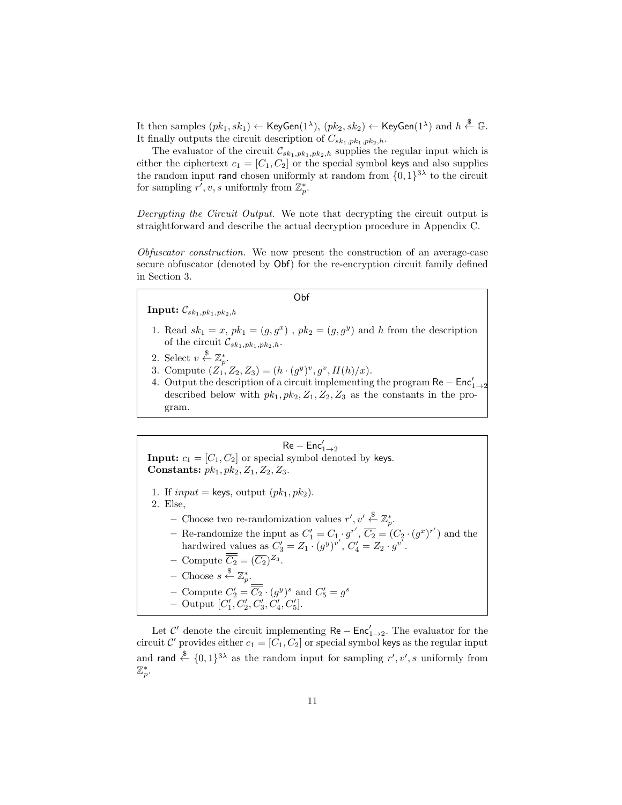It then samples  $(pk_1, sk_1) \leftarrow \mathsf{KeyGen}(1^\lambda), \, (pk_2, sk_2) \leftarrow \mathsf{KeyGen}(1^\lambda) \text{ and } h \stackrel{\$}{\leftarrow} \mathbb{G}.$ It finally outputs the circuit description of  $C_{sk_1,pk_1,pk_2,h}$ .

The evaluator of the circuit  $\mathcal{C}_{sk_1,pk_1,pk_2,h}$  supplies the regular input which is either the ciphertext  $c_1 = [C_1, C_2]$  or the special symbol keys and also supplies the random input rand chosen uniformly at random from  $\{0,1\}^{3\lambda}$  to the circuit for sampling  $r', v, s$  uniformly from  $\mathbb{Z}_p^*$ .

Decrypting the Circuit Output. We note that decrypting the circuit output is straightforward and describe the actual decryption procedure in Appendix C.

Obfuscator construction. We now present the construction of an average-case secure obfuscator (denoted by Obf) for the re-encryption circuit family defined in Section 3.

#### Obf

**Input:**  $\mathcal{C}_{sk_1,pk_1,pk_2,h}$ 

- 1. Read  $sk_1 = x$ ,  $pk_1 = (g, g^x)$ ,  $pk_2 = (g, g^y)$  and h from the description of the circuit  $\mathcal{C}_{sk_1,pk_1,pk_2,h}$ .
- 2. Select  $v \overset{\$}{\leftarrow} \mathbb{Z}_p^*$ .
- 3. Compute  $(Z_1, Z_2, Z_3) = (h \cdot (g^y)^v, g^v, H(h)/x)$ .
- 4. Output the description of a circuit implementing the program  $\textsf{Re}-\textsf{Enc}'_{1\rightarrow 2}$ described below with  $pk_1$ ,  $pk_2$ ,  $Z_1$ ,  $Z_2$ ,  $Z_3$  as the constants in the program.

 $\mathsf{Re-Enc}'_{1\rightarrow 2}$ **Input:**  $c_1 = [C_1, C_2]$  or special symbol denoted by keys. Constants:  $pk_1, pk_2, Z_1, Z_2, Z_3$ . 1. If  $input = \text{keys}$ , output  $(pk_1, pk_2)$ . 2. Else, - Choose two re-randomization values  $r', v' \stackrel{\$}{\leftarrow} \mathbb{Z}_p^*$ . - Re-randomize the input as  $C'_1 = C_1 \cdot g^{r'}$ ,  $\overline{C_2} = (C_2 \cdot (g^x)^{r'})$  and the hardwired values as  $C'_3 = Z_1 \cdot (g^y)^{v'}$ ,  $C'_4 = Z_2 \cdot g^{v'}$ . - Compute  $\overline{C_2} = (\overline{C_2})^{Z_3}$ .  $-$  Choose  $s \stackrel{\$}{\leftarrow} \mathbb{Z}_p^*$ . - Compute  $C_2' = \overline{C_2} \cdot (g^y)^s$  and  $C_5' = g^s$ - Output  $[C'_1, C'_2, C'_3, C'_4, C'_5]$ .

Let  $\mathcal{C}'$  denote the circuit implementing  $\mathsf{Re} - \mathsf{Enc}'_{1\to 2}$ . The evaluator for the circuit C' provides either  $c_1 = [C_1, C_2]$  or special symbol keys as the regular input and rand  $\xi \in \{0,1\}^{3\lambda}$  as the random input for sampling  $r', v', s$  uniformly from  $\mathbb{Z}_p^*.$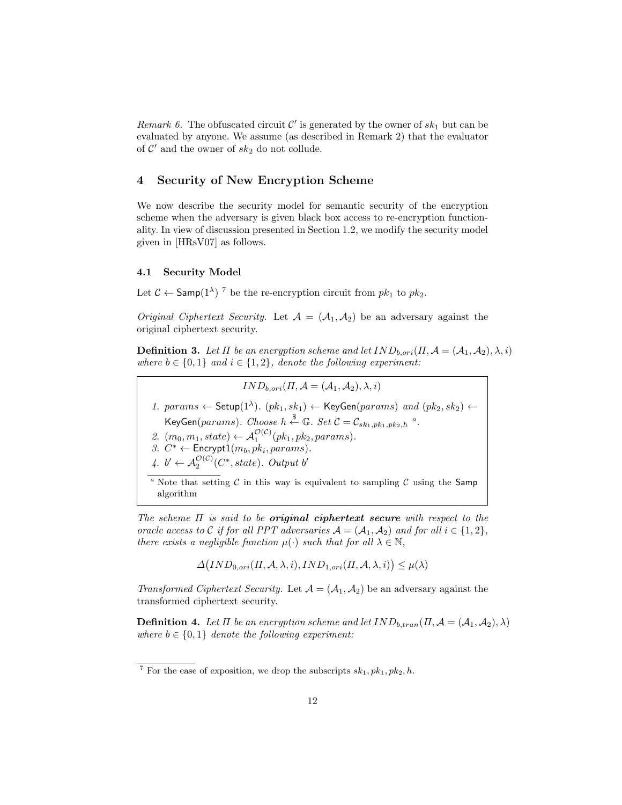Remark 6. The obfuscated circuit  $\mathcal{C}'$  is generated by the owner of  $sk_1$  but can be evaluated by anyone. We assume (as described in Remark 2) that the evaluator of  $\mathcal{C}'$  and the owner of  $sk_2$  do not collude.

# 4 Security of New Encryption Scheme

We now describe the security model for semantic security of the encryption scheme when the adversary is given black box access to re-encryption functionality. In view of discussion presented in Section 1.2, we modify the security model given in [HRsV07] as follows.

#### 4.1 Security Model

Let  $C \leftarrow$  Samp $(1^{\lambda})$ <sup>7</sup> be the re-encryption circuit from  $pk_1$  to  $pk_2$ .

*Original Ciphertext Security.* Let  $A = (A_1, A_2)$  be an adversary against the original ciphertext security.

**Definition 3.** Let  $\Pi$  be an encryption scheme and let  $IND_{b,ori}(\Pi, \mathcal{A} = (\mathcal{A}_1, \mathcal{A}_2), \lambda, i)$ where  $b \in \{0,1\}$  and  $i \in \{1,2\}$ , denote the following experiment:

 $IND_{b.ori}(H, \mathcal{A} = (\mathcal{A}_1, \mathcal{A}_2), \lambda, i)$ 

1. params  $\leftarrow$  Setup(1<sup> $\lambda$ </sup>).  $(pk_1, sk_1) \leftarrow$  KeyGen(params) and  $(pk_2, sk_2) \leftarrow$ KeyGen( $params$ ). Choose  $h \stackrel{\$}{\leftarrow} \mathbb{G}$ . Set  $C = \mathcal{C}_{sk_1, pk_1, pk_2, h}$ <sup>a</sup>.

- 2.  $(m_0, m_1, state) \leftarrow \mathcal{A}_1^{\mathcal{O}(\mathcal{C})}(pk_1, pk_2, params).$
- 3.  $C^* \leftarrow$  Encrypt $1(m_b, pk_i,params)$ .
- 4.  $b' \leftarrow A_2^{\mathcal{O}(\mathcal{C})}(C^*, state)$ . Output  $b'$

<sup>a</sup> Note that setting C in this way is equivalent to sampling C using the Samp algorithm

The scheme  $\Pi$  is said to be **original ciphertext secure** with respect to the oracle access to C if for all PPT adversaries  $A = (A_1, A_2)$  and for all  $i \in \{1, 2\}$ , there exists a negligible function  $\mu(\cdot)$  such that for all  $\lambda \in \mathbb{N}$ ,

 $\Delta \big( IND_{0,ori}(\Pi, \mathcal{A}, \lambda, i), IND_{1,ori}(\Pi, \mathcal{A}, \lambda, i) \big) \leq \mu(\lambda)$ 

Transformed Ciphertext Security. Let  $\mathcal{A} = (\mathcal{A}_1, \mathcal{A}_2)$  be an adversary against the transformed ciphertext security.

**Definition 4.** Let  $\Pi$  be an encryption scheme and let  $IND_{b,tran}(H, \mathcal{A} = (\mathcal{A}_1, \mathcal{A}_2), \lambda)$ where  $b \in \{0,1\}$  denote the following experiment:

<sup>&</sup>lt;sup>7</sup> For the ease of exposition, we drop the subscripts  $sk_1, pk_1, pk_2, h$ .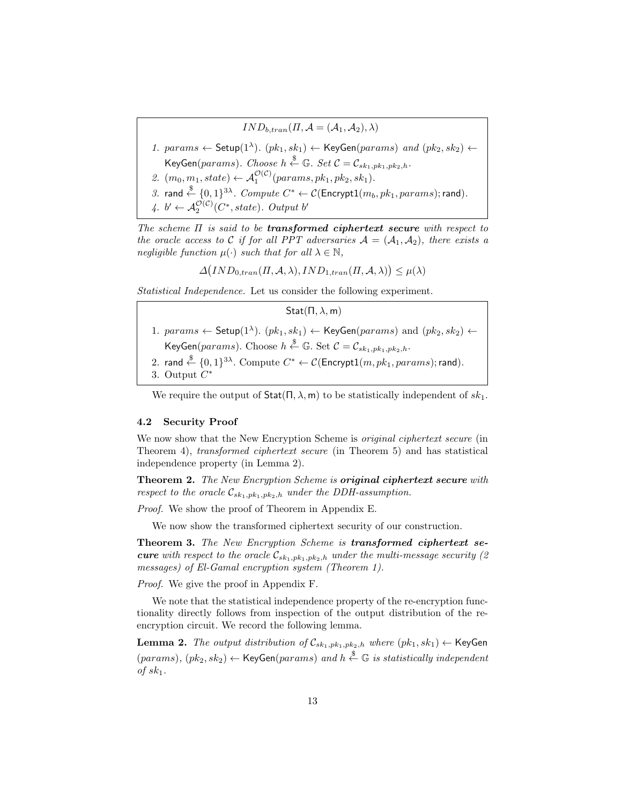$IND_{b,tran}(\Pi, \mathcal{A} = (\mathcal{A}_1, \mathcal{A}_2), \lambda)$ 

- 1. params  $\leftarrow$  Setup(1<sup> $\lambda$ </sup>).  $(pk_1, sk_1) \leftarrow$  KeyGen(params) and  $(pk_2, sk_2) \leftarrow$ KeyGen $(params)$ . Choose  $h \stackrel{\$}{\leftarrow} \mathbb{G}$ . Set  $\mathcal{C} = \mathcal{C}_{sk_1,pk_1,pk_2,h}$ .
- 2.  $(m_0, m_1, state) \leftarrow A_1^{\mathcal{O}(\mathcal{C})} (params, pk_1, pk_2, sk_1).$
- 3. rand  $\stackrel{\$}{\leftarrow} \{0,1\}^{3\lambda}$ .  $Compute \; C^* \leftarrow \mathcal{C}(\mathsf{Encrypt1}(m_b, pk_1,params); \mathsf{rand}).$
- 4.  $b' \leftarrow A_2^{\mathcal{O}(\mathcal{C})}(C^*, state)$ . Output  $b'$

The scheme  $\Pi$  is said to be **transformed ciphertext secure** with respect to the oracle access to C if for all PPT adversaries  $A = (A_1, A_2)$ , there exists a negligible function  $\mu(\cdot)$  such that for all  $\lambda \in \mathbb{N}$ ,

 $\Delta \big( IND_{0,tran}(H, \mathcal{A}, \lambda), IND_{1,tran}(H, \mathcal{A}, \lambda) \big) \leq \mu(\lambda)$ 

Statistical Independence. Let us consider the following experiment.

 $Stat(\Pi, \lambda, m)$ 

- 1.  $params \leftarrow \mathsf{Setup}(1^{\lambda})$ .  $(pk_1, sk_1) \leftarrow \mathsf{KeyGen}(params)$  and  $(pk_2, sk_2) \leftarrow$ KeyGen $(params)$ . Choose  $h \stackrel{\$}{\leftarrow} \mathbb{G}$ . Set  $C = \mathcal{C}_{sk_1,pk_1,pk_2,h}$ .
- $2.$  rand  $\stackrel{\$}{\leftarrow} \{0,1\}^{3\lambda}.$   $\text{Compute } C^* \leftarrow \mathcal{C}(\mathsf{Encrypt1}(m, pk_1, params); \mathsf{rand}).$
- 3. Output  $C^*$

We require the output of  $\text{Stat}(\Pi, \lambda, \mathsf{m})$  to be statistically independent of  $sk_1$ .

### 4.2 Security Proof

We now show that the New Encryption Scheme is *original ciphertext secure* (in Theorem 4), transformed ciphertext secure (in Theorem 5) and has statistical independence property (in Lemma 2).

Theorem 2. The New Encryption Scheme is original ciphertext secure with respect to the oracle  $\mathcal{C}_{sk_1,pk_1,pk_2,h}$  under the DDH-assumption.

Proof. We show the proof of Theorem in Appendix E.

We now show the transformed ciphertext security of our construction.

Theorem 3. The New Encryption Scheme is transformed ciphertext se**cure** with respect to the oracle  $\mathcal{C}_{sk_1,pk_1,pk_2,h}$  under the multi-message security (2) messages) of El-Gamal encryption system (Theorem 1).

Proof. We give the proof in Appendix F.

We note that the statistical independence property of the re-encryption functionality directly follows from inspection of the output distribution of the reencryption circuit. We record the following lemma.

**Lemma 2.** The output distribution of  $\mathcal{C}_{sk_1,pk_1,pk_2,h}$  where  $(pk_1, sk_1) \leftarrow$  KeyGen  $(params), (pk_2, sk_2) \leftarrow \textsf{KeyGen}(params)$  and  $h \stackrel{\$}{\leftarrow} \mathbb{G}$  is statistically independent of  $sk_1$ .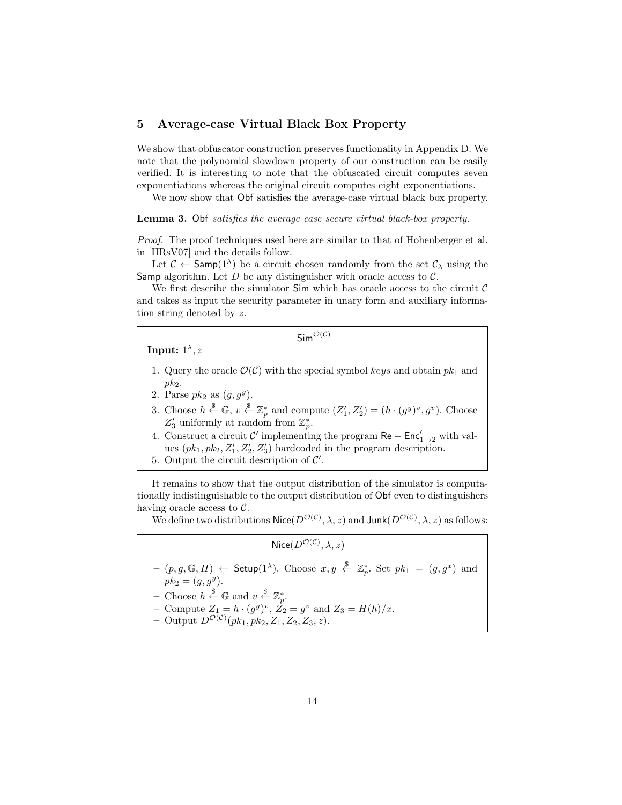# 5 Average-case Virtual Black Box Property

We show that obfuscator construction preserves functionality in Appendix D. We note that the polynomial slowdown property of our construction can be easily verified. It is interesting to note that the obfuscated circuit computes seven exponentiations whereas the original circuit computes eight exponentiations.

We now show that Obf satisfies the average-case virtual black box property.

### Lemma 3. Obf satisfies the average case secure virtual black-box property.

Proof. The proof techniques used here are similar to that of Hohenberger et al. in [HRsV07] and the details follow.

Let  $\mathcal{C} \leftarrow$  Samp $(1^{\lambda})$  be a circuit chosen randomly from the set  $\mathcal{C}_{\lambda}$  using the Samp algorithm. Let  $D$  be any distinguisher with oracle access to  $\mathcal{C}$ .

We first describe the simulator  $\mathsf{Sim}$  which has oracle access to the circuit  $\mathcal C$ and takes as input the security parameter in unary form and auxiliary information string denoted by z.

 $Sim^{\mathcal{O}(\mathcal{C})}$ 

Input:  $1^{\lambda}, z$ 

- 1. Query the oracle  $\mathcal{O}(\mathcal{C})$  with the special symbol keys and obtain  $pk_1$  and  $pk<sub>2</sub>$ .
- 2. Parse  $pk_2$  as  $(g, g<sup>y</sup>)$ .
- 3. Choose  $h \stackrel{\$}{\leftarrow} \mathbb{G}$ ,  $v \stackrel{\$}{\leftarrow} \mathbb{Z}_p^*$  and compute  $(Z'_1, Z'_2) = (h \cdot (g^y)^v, g^v)$ . Choose  $Z_3'$  uniformly at random from  $\mathbb{Z}_p^*$ .
- 4. Construct a circuit  $\mathcal{C}'$  implementing the program  $\mathsf{Re} \mathsf{Enc}'_{1\to 2}$  with values  $(pk_1, pk_2, Z'_1, Z'_2, Z'_3)$  hardcoded in the program description.
- 5. Output the circuit description of  $\mathcal{C}'$ .

It remains to show that the output distribution of the simulator is computationally indistinguishable to the output distribution of Obf even to distinguishers having oracle access to C.

We define two distributions  $\mathsf{Nice}(D^{\mathcal{O}(\mathcal{C})}, \lambda, z)$  and  $\mathsf{Junk}(D^{\mathcal{O}(\mathcal{C})}, \lambda, z)$  as follows:

 $\mathsf{Nice}(D^{\mathcal{O}(\mathcal{C})}, \lambda, z)$ 

- $(p, g, \mathbb{G}, H)$   $\leftarrow$  Setup(1<sup> $\lambda$ </sup>). Choose  $x, y \stackrel{\$}{\leftarrow} \mathbb{Z}_p^*$ . Set  $pk_1 = (g, g^x)$  and  $pk_2 = (g, g^y).$
- Choose  $h \overset{\$}{\leftarrow} \mathbb{G}$  and  $v \overset{\$}{\leftarrow} \mathbb{Z}_p^*$ .
- Compute  $Z_1 = h \cdot (g^y)^v$ ,  $\dot{Z}_2 = g^v$  and  $Z_3 = H(h)/x$ .
- Output  $D^{\mathcal{O}(\mathcal{C})}(pk_1, pk_2, Z_1, Z_2, Z_3, z)$ .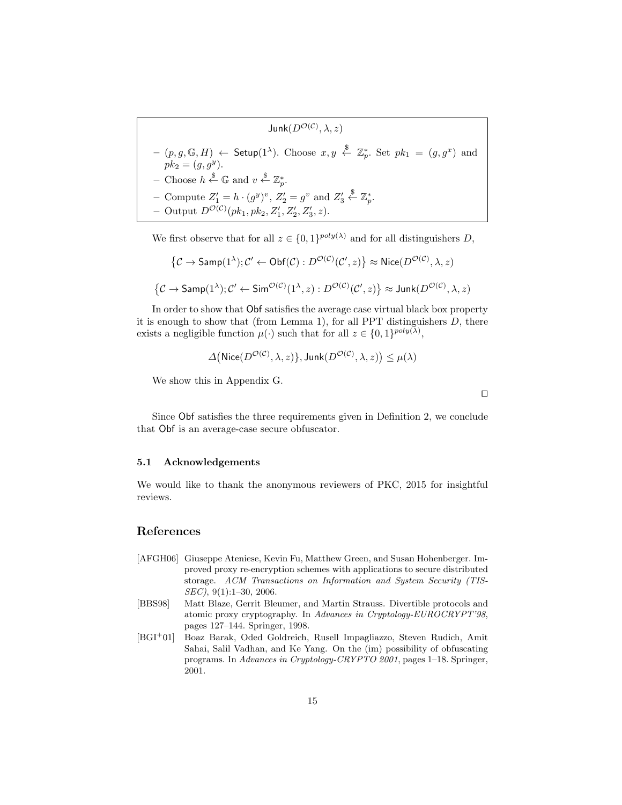$$
\text{Junk}(D^{\mathcal{O}(\mathcal{C})}, \lambda, z)
$$
\n
$$
-(p, g, \mathbb{G}, H) \leftarrow \text{Setup}(1^{\lambda}). \text{ Choose } x, y \stackrel{\$}{\leftarrow} \mathbb{Z}_p^*. \text{ Set } pk_1 = (g, g^x) \text{ and } pk_2 = (g, g^y).
$$
\n
$$
-\text{Choose } h \stackrel{\$}{\leftarrow} \mathbb{G} \text{ and } v \stackrel{\$}{\leftarrow} \mathbb{Z}_p^*.
$$
\n
$$
-\text{Compute } Z_1' = h \cdot (g^y)^v, Z_2' = g^v \text{ and } Z_3' \stackrel{\$}{\leftarrow} \mathbb{Z}_p^*.
$$
\n
$$
-\text{Output } D^{\mathcal{O}(\mathcal{C})}(pk_1, pk_2, Z_1', Z_2', Z_3', z).
$$

We first observe that for all  $z \in \{0,1\}^{poly(\lambda)}$  and for all distinguishers D,

$$
\{C \to \textsf{Samp}(1^{\lambda}); C' \leftarrow \textsf{Obf}(C) : D^{\mathcal{O}(C)}(C', z)\} \approx \textsf{Nice}(D^{\mathcal{O}(C)}, \lambda, z)
$$
  

$$
\{C \to \textsf{Samp}(1^{\lambda}); C' \leftarrow \textsf{Sim}^{\mathcal{O}(C)}(1^{\lambda}, z) : D^{\mathcal{O}(C)}(C', z)\} \approx \textsf{Junk}(D^{\mathcal{O}(C)}, \lambda, z)
$$

In order to show that Obf satisfies the average case virtual black box property it is enough to show that (from Lemma 1), for all PPT distinguishers  $D$ , there exists a negligible function  $\mu(\cdot)$  such that for all  $z \in \{0,1\}^{poly(\lambda)}$ ,

$$
\Delta\big(\mathsf{Nice}(D^{\mathcal{O}(\mathcal{C})}, \lambda, z)\}, \mathsf{Junk}(D^{\mathcal{O}(\mathcal{C})}, \lambda, z)\big) \leq \mu(\lambda)
$$

We show this in Appendix G.

Since Obf satisfies the three requirements given in Definition 2, we conclude that Obf is an average-case secure obfuscator.

 $\Box$ 

### 5.1 Acknowledgements

We would like to thank the anonymous reviewers of PKC, 2015 for insightful reviews.

# References

- [AFGH06] Giuseppe Ateniese, Kevin Fu, Matthew Green, and Susan Hohenberger. Improved proxy re-encryption schemes with applications to secure distributed storage. ACM Transactions on Information and System Security (TIS-SEC), 9(1):1–30, 2006.
- [BBS98] Matt Blaze, Gerrit Bleumer, and Martin Strauss. Divertible protocols and atomic proxy cryptography. In Advances in Cryptology-EUROCRYPT'98, pages 127–144. Springer, 1998.
- [BGI<sup>+</sup>01] Boaz Barak, Oded Goldreich, Rusell Impagliazzo, Steven Rudich, Amit Sahai, Salil Vadhan, and Ke Yang. On the (im) possibility of obfuscating programs. In Advances in Cryptology-CRYPTO 2001, pages 1–18. Springer, 2001.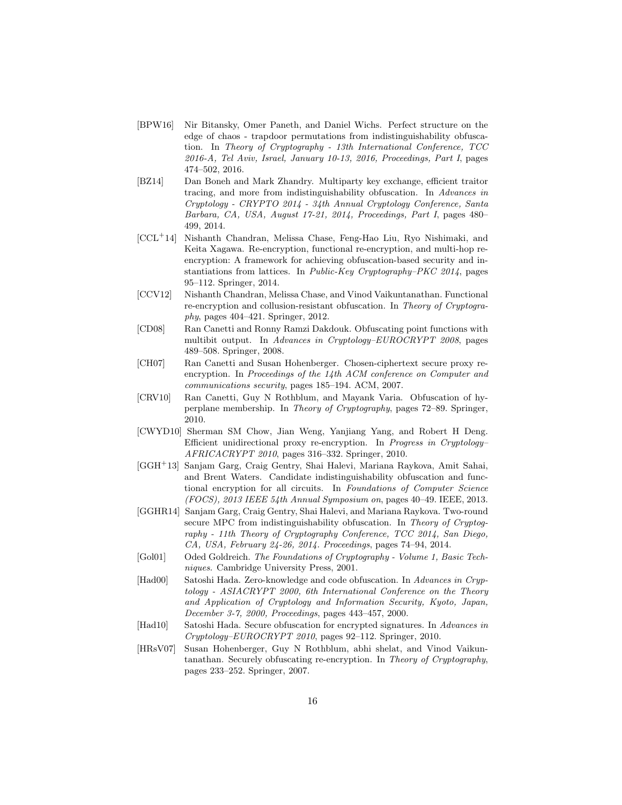- [BPW16] Nir Bitansky, Omer Paneth, and Daniel Wichs. Perfect structure on the edge of chaos - trapdoor permutations from indistinguishability obfuscation. In Theory of Cryptography - 13th International Conference, TCC 2016-A, Tel Aviv, Israel, January 10-13, 2016, Proceedings, Part I, pages 474–502, 2016.
- [BZ14] Dan Boneh and Mark Zhandry. Multiparty key exchange, efficient traitor tracing, and more from indistinguishability obfuscation. In Advances in Cryptology - CRYPTO 2014 - 34th Annual Cryptology Conference, Santa Barbara, CA, USA, August 17-21, 2014, Proceedings, Part I, pages 480– 499, 2014.
- [CCL<sup>+</sup>14] Nishanth Chandran, Melissa Chase, Feng-Hao Liu, Ryo Nishimaki, and Keita Xagawa. Re-encryption, functional re-encryption, and multi-hop reencryption: A framework for achieving obfuscation-based security and instantiations from lattices. In *Public-Key Cryptography–PKC 2014*, pages 95–112. Springer, 2014.
- [CCV12] Nishanth Chandran, Melissa Chase, and Vinod Vaikuntanathan. Functional re-encryption and collusion-resistant obfuscation. In Theory of Cryptography, pages 404–421. Springer, 2012.
- [CD08] Ran Canetti and Ronny Ramzi Dakdouk. Obfuscating point functions with multibit output. In Advances in Cryptology–EUROCRYPT 2008, pages 489–508. Springer, 2008.
- [CH07] Ran Canetti and Susan Hohenberger. Chosen-ciphertext secure proxy reencryption. In Proceedings of the 14th ACM conference on Computer and communications security, pages 185–194. ACM, 2007.
- [CRV10] Ran Canetti, Guy N Rothblum, and Mayank Varia. Obfuscation of hyperplane membership. In Theory of Cryptography, pages 72–89. Springer, 2010.
- [CWYD10] Sherman SM Chow, Jian Weng, Yanjiang Yang, and Robert H Deng. Efficient unidirectional proxy re-encryption. In Progress in Cryptology– AFRICACRYPT 2010, pages 316–332. Springer, 2010.
- [GGH<sup>+</sup>13] Sanjam Garg, Craig Gentry, Shai Halevi, Mariana Raykova, Amit Sahai, and Brent Waters. Candidate indistinguishability obfuscation and functional encryption for all circuits. In Foundations of Computer Science (FOCS), 2013 IEEE 54th Annual Symposium on, pages 40–49. IEEE, 2013.
- [GGHR14] Sanjam Garg, Craig Gentry, Shai Halevi, and Mariana Raykova. Two-round secure MPC from indistinguishability obfuscation. In Theory of Cryptography - 11th Theory of Cryptography Conference, TCC 2014, San Diego, CA, USA, February 24-26, 2014. Proceedings, pages 74–94, 2014.
- [Gol01] Oded Goldreich. The Foundations of Cryptography Volume 1, Basic Techniques. Cambridge University Press, 2001.
- [Had00] Satoshi Hada. Zero-knowledge and code obfuscation. In Advances in Cryptology - ASIACRYPT 2000, 6th International Conference on the Theory and Application of Cryptology and Information Security, Kyoto, Japan, December 3-7, 2000, Proceedings, pages 443–457, 2000.
- [Had10] Satoshi Hada. Secure obfuscation for encrypted signatures. In Advances in Cryptology–EUROCRYPT 2010, pages 92–112. Springer, 2010.
- [HRsV07] Susan Hohenberger, Guy N Rothblum, abhi shelat, and Vinod Vaikuntanathan. Securely obfuscating re-encryption. In Theory of Cryptography, pages 233–252. Springer, 2007.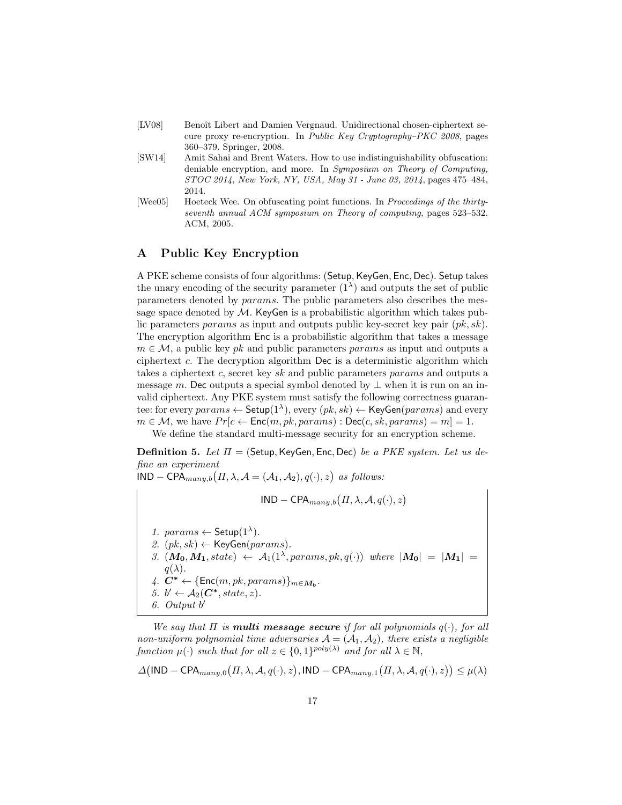- [LV08] Benoît Libert and Damien Vergnaud. Unidirectional chosen-ciphertext secure proxy re-encryption. In Public Key Cryptography–PKC 2008, pages 360–379. Springer, 2008.
- [SW14] Amit Sahai and Brent Waters. How to use indistinguishability obfuscation: deniable encryption, and more. In Symposium on Theory of Computing, STOC 2014, New York, NY, USA, May 31 - June 03, 2014, pages 475–484, 2014.
- [Wee05] Hoeteck Wee. On obfuscating point functions. In Proceedings of the thirtyseventh annual ACM symposium on Theory of computing, pages 523–532. ACM, 2005.

# A Public Key Encryption

A PKE scheme consists of four algorithms: (Setup,KeyGen, Enc, Dec). Setup takes the unary encoding of the security parameter  $(1^{\lambda})$  and outputs the set of public parameters denoted by params. The public parameters also describes the message space denoted by  $M$ . KeyGen is a probabilistic algorithm which takes public parameters params as input and outputs public key-secret key pair  $(pk, sk)$ . The encryption algorithm Enc is a probabilistic algorithm that takes a message  $m \in \mathcal{M}$ , a public key pk and public parameters params as input and outputs a ciphertext  $c$ . The decryption algorithm Dec is a deterministic algorithm which takes a ciphertext c, secret key sk and public parameters params and outputs a message m. Dec outputs a special symbol denoted by  $\perp$  when it is run on an invalid ciphertext. Any PKE system must satisfy the following correctness guarantee: for every  $params \leftarrow$  Setup $(1^{\lambda})$ , every  $(pk, sk) \leftarrow$  KeyGen $(params)$  and every  $m \in \mathcal{M}$ , we have  $Pr[c \leftarrow \mathsf{Enc}(m, pk,params) : \mathsf{Dec}(c, sk,params) = m] = 1.$ 

We define the standard multi-message security for an encryption scheme.

**Definition 5.** Let  $\Pi$  = (Setup, KeyGen, Enc, Dec) be a PKE system. Let us define an experiment

 $\text{IND} - \text{CPA}_{many,b}(II, \lambda, \mathcal{A} = (\mathcal{A}_1, \mathcal{A}_2), q(\cdot), z)$  as follows:

$$
IND - \mathsf{CPA}_{many,b}(II, \lambda, \mathcal{A}, q(\cdot), z)
$$

1. params  $\leftarrow$  Setup(1<sup> $\lambda$ </sup>). 2.  $(pk, sk) \leftarrow \text{KeyGen}(params)$ . 3.  $(M_0, M_1, state) \leftarrow A_1(1^{\lambda}, parameters, pk, q(\cdot))$  where  $|M_0| = |M_1|$  $q(\lambda)$ . 4.  $C^* \leftarrow {\text{Enc}(m, pk,params)}_{m \in M_b}.$ 5.  $b' \leftarrow A_2(\mathbf{C}^*, state, z)$ . 6. Output b 0

We say that  $\Pi$  is **multi message secure** if for all polynomials  $q(\cdot)$ , for all non-uniform polynomial time adversaries  $A = (A_1, A_2)$ , there exists a negligible function  $\mu(\cdot)$  such that for all  $z \in \{0,1\}^{poly(\lambda)}$  and for all  $\lambda \in \mathbb{N}$ ,

$$
\Delta \big(\mathsf{IND-CPA}_{many,0}\big( \Pi,\lambda,\mathcal{A},q(\cdot),z \big),\mathsf{IND-CPA}_{many,1}\big( \Pi,\lambda,\mathcal{A},q(\cdot),z \big) \big) \leq \mu(\lambda)
$$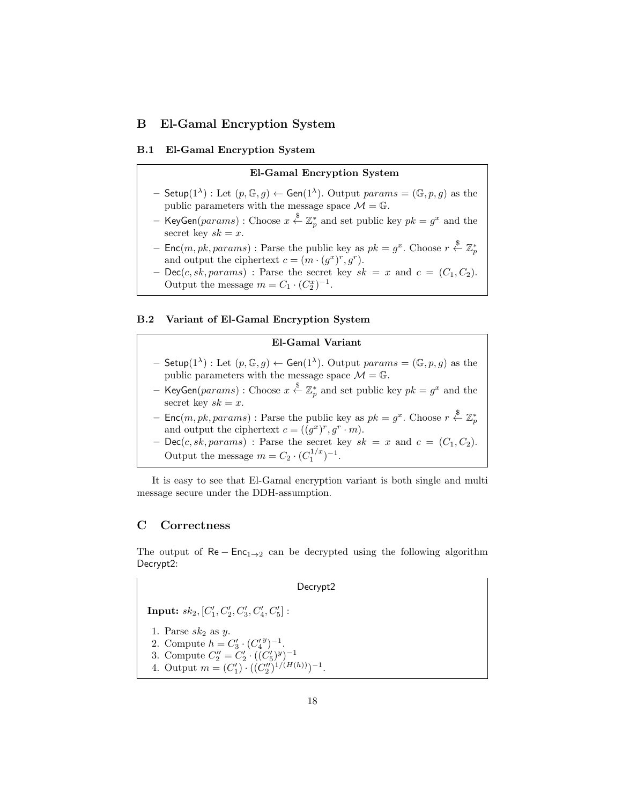# B El-Gamal Encryption System

### B.1 El-Gamal Encryption System

### El-Gamal Encryption System

- $-$  Setup $(1^{\lambda})$ : Let  $(p, \mathbb{G}, g) \leftarrow$  Gen $(1^{\lambda})$ . Output  $params = (\mathbb{G}, p, g)$  as the public parameters with the message space  $\mathcal{M} = \mathbb{G}$ .
- KeyGen ${\left(}params{\right)}: \text{Choose }x \stackrel{\$}{\leftarrow} \mathbb{Z}_p^*$  and set public key  $pk = g^x$  and the secret key  $sk = x$ .
- Enc $(m, pk,params)$ : Parse the public key as  $pk = g^x$ . Choose  $r \stackrel{\$}{\leftarrow} \mathbb{Z}_p^*$ and output the ciphertext  $c = (m \cdot (g^x)^r, g^r)$ .
- $-$  Dec(c, sk, params) : Parse the secret key  $sk = x$  and  $c = (C_1, C_2)$ . Output the message  $m = C_1 \cdot (C_2^x)^{-1}$ .

### B.2 Variant of El-Gamal Encryption System

### El-Gamal Variant

- $-$  Setup $(1^{\lambda})$ : Let  $(p, \mathbb{G}, g) \leftarrow$  Gen $(1^{\lambda})$ . Output  $params = (\mathbb{G}, p, g)$  as the public parameters with the message space  $\mathcal{M}=\mathbb{G}.$
- KeyGen ${\left(}params{\right)}: \text{Choose } x \stackrel{\$}{\leftarrow} \mathbb{Z}_p^\ast$  and set public key  $pk = g^x$  and the secret key  $sk = x$ .
- Enc $(m, pk,params)$ : Parse the public key as  $pk = g^x$ . Choose  $r \stackrel{\$}{\leftarrow} \mathbb{Z}_p^*$ and output the ciphertext  $c = ((g^x)^r, g^r \cdot m)$ .
- $Dec(c, sk,params)$ : Parse the secret key  $sk = x$  and  $c = (C_1, C_2)$ . Output the message  $m = C_2 \cdot (C_1^{1/x})^{-1}$ .

It is easy to see that El-Gamal encryption variant is both single and multi message secure under the DDH-assumption.

# C Correctness

The output of  $\text{Re}-\text{Enc}_{1\rightarrow 2}$  can be decrypted using the following algorithm Decrypt2:

### Decrypt2

 $\mathbf{Input:} \; sk_2, [C'_1, C'_2, C'_3, C'_4, C'_5]:$ 

- 1. Parse  $sk_2$  as  $y$ .
- 2. Compute  $h = C'_3 \cdot (C'_4)^{y-1}$ .
- 3. Compute  $C_2'' = C_2' \cdot ((C_5')^y)^{-1}$
- 4. Output  $m = (C'_1) \cdot ((C''_2)^{1/(H(h))})^{-1}$ .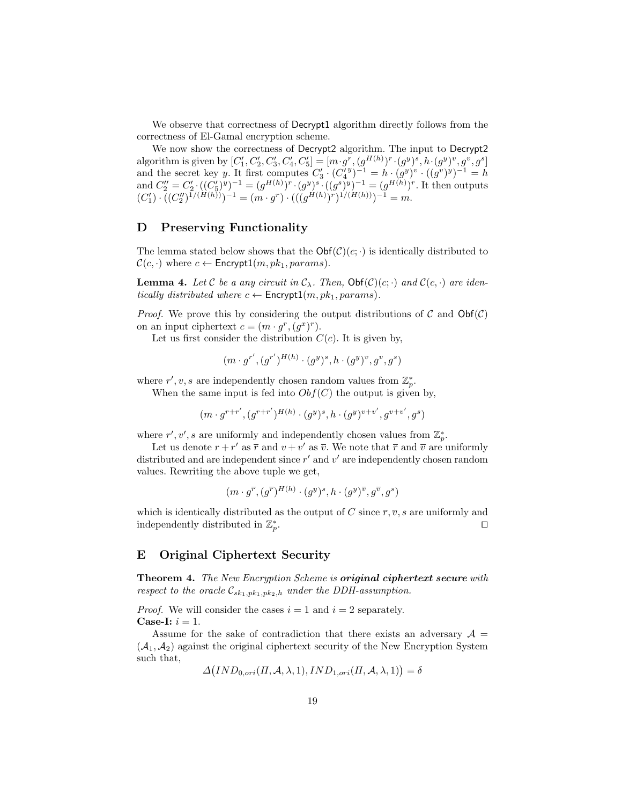We observe that correctness of Decrypt1 algorithm directly follows from the correctness of El-Gamal encryption scheme.

We now show the correctness of Decrypt2 algorithm. The input to Decrypt2 algorithm is given by  $[C'_1, C'_2, C'_3, C'_4, C'_5] = [m \cdot g^r, (g^{H(h)})^r \cdot (g^y)^s, h \cdot (g^y)^v, g^v, g^s]$ and the secret key y. It first computes  $C'_3 \cdot (C'^3_4) - 1 = h \cdot (g^y)^v \cdot ((g^v)^y)^{-1} = h$ and  $C''_2 = C'_2 \cdot ((C'_5)^y)^{-1} = (g^{H(h)})^r \cdot (g^y)^s \cdot ((g^s)^y)^{-1} = (g^{H(h)})^r$ . It then outputs  $(C'_1) \cdot ((C''_2)^{1/(H(h))})^{-1} = (m \cdot g^r) \cdot (((g^{H(h)})^r)^{1/(H(h))})^{-1} = m.$ 

# D Preserving Functionality

The lemma stated below shows that the  $\mathsf{Obf}(\mathcal{C})(c; \cdot)$  is identically distributed to  $\mathcal{C}(c, \cdot)$  where  $c \leftarrow$  Encrypt1 $(m, pk_1,params)$ .

**Lemma 4.** Let C be a any circuit in  $C_\lambda$ . Then,  $Obf(C)(c; \cdot)$  and  $C(c, \cdot)$  are identically distributed where  $c \leftarrow$  Encrypt1 $(m, pk_1, params)$ .

*Proof.* We prove this by considering the output distributions of C and  $Obf(\mathcal{C})$ on an input ciphertext  $c = (m \cdot g^r, (g^x)^r)$ .

Let us first consider the distribution  $C(c)$ . It is given by,

$$
(m \cdot g^{r'}, (g^{r'})^{H(h)} \cdot (g^y)^s, h \cdot (g^y)^v, g^v, g^s)
$$

where  $r', v, s$  are independently chosen random values from  $\mathbb{Z}_p^*$ .

When the same input is fed into  $Obf(C)$  the output is given by,

$$
(m\cdot g^{r+r'}, (g^{r+r'})^{H(h)} \cdot (g^y)^s, h\cdot (g^y)^{v+v'}, g^{v+v'}, g^s)
$$

where  $r', v', s$  are uniformly and independently chosen values from  $\mathbb{Z}_p^*$ .

Let us denote  $r + r'$  as  $\bar{r}$  and  $v + v'$  as  $\bar{v}$ . We note that  $\bar{r}$  and  $\bar{v}$  are uniformly distributed and are independent since  $r'$  and  $v'$  are independently chosen random values. Rewriting the above tuple we get,

$$
(m \cdot g^{\overline{r}}, (g^{\overline{r}})^{H(h)} \cdot (g^y)^s, h \cdot (g^y)^{\overline{v}}, g^{\overline{v}}, g^s)
$$

which is identically distributed as the output of C since  $\overline{r}, \overline{v}, s$  are uniformly and independently distributed in  $\mathbb{Z}_p^*$ . The contract of the contract of  $\Box$ 

# E Original Ciphertext Security

Theorem 4. The New Encryption Scheme is original ciphertext secure with respect to the oracle  $\mathcal{C}_{sk_1,pk_1,pk_2,h}$  under the DDH-assumption.

*Proof.* We will consider the cases  $i = 1$  and  $i = 2$  separately. Case-I:  $i = 1$ .

Assume for the sake of contradiction that there exists an adversary  $A =$  $(\mathcal{A}_1, \mathcal{A}_2)$  against the original ciphertext security of the New Encryption System such that,

$$
\Delta \big( IND_{0,ori}(\Pi, \mathcal{A}, \lambda, 1), IND_{1,ori}(\Pi, \mathcal{A}, \lambda, 1) \big) = \delta
$$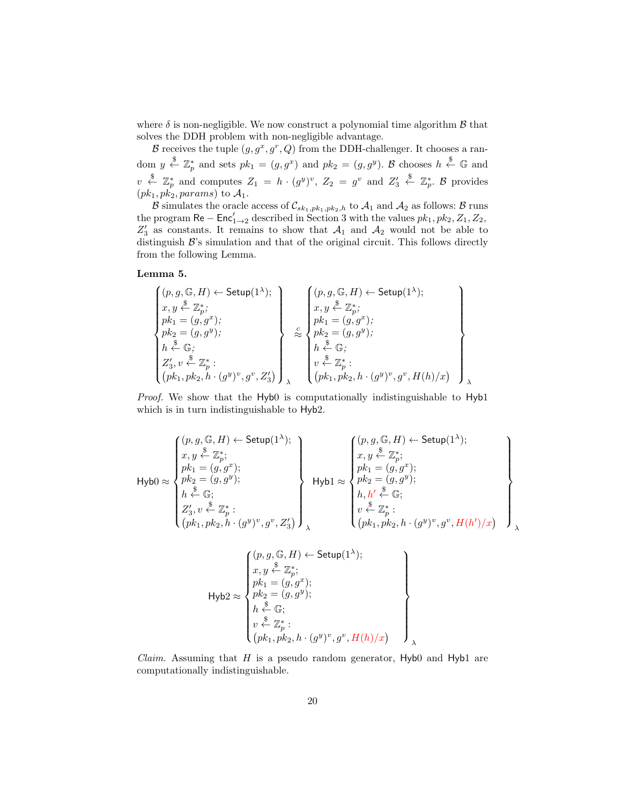where  $\delta$  is non-negligible. We now construct a polynomial time algorithm  $\beta$  that solves the DDH problem with non-negligible advantage.

B receives the tuple  $(g, g^x, g^r, Q)$  from the DDH-challenger. It chooses a random  $y \stackrel{\$}{\leftarrow} \mathbb{Z}_p^*$  and sets  $pk_1 = (g, g^x)$  and  $pk_2 = (g, g^y)$ . B chooses  $h \stackrel{\$}{\leftarrow} \mathbb{G}$  and  $v \stackrel{\$}{\leftarrow} \mathbb{Z}_p^*$  and computes  $Z_1 = h \cdot (g^y)^v$ ,  $Z_2 = g^v$  and  $Z_3'$  $\overset{\$}{\leftarrow} \mathbb{Z}_p^*$ .  $\mathcal{B}$  provides  $(pk_1, pk_2, params)$  to  $\mathcal{A}_1$ .

B simulates the oracle access of  $C_{sk_1,pk_1,pk_2,h}$  to  $\mathcal{A}_1$  and  $\mathcal{A}_2$  as follows: B runs the program  $\textsf{Re}-\textsf{Enc}'_{1\rightarrow 2}$  described in Section 3 with the values  $pk_1, pk_2, Z_1, Z_2,$  $Z'_3$  as constants. It remains to show that  $A_1$  and  $A_2$  would not be able to distinguish  $B$ 's simulation and that of the original circuit. This follows directly from the following Lemma.

### Lemma 5.

 (p, g, G, H) ← Setup(1<sup>λ</sup> ); x, y \$ ← Z ∗ p ; pk<sup>1</sup> = (g, g<sup>x</sup> ); pk<sup>2</sup> = (g, g<sup>y</sup> ); h \$ ← G; Z 0 3 , v \$ ← Z ∗ p : pk1, pk2, h · (g y ) v , g<sup>v</sup> , Z<sup>0</sup> 3 λ c ≈ (p, g, G, H) ← Setup(1<sup>λ</sup> ); x, y \$ ← Z ∗ p ; pk<sup>1</sup> = (g, g<sup>x</sup> ); pk<sup>2</sup> = (g, g<sup>y</sup> ); h \$ ← G; v \$ ← Z ∗ p : pk1, pk2, h · (g y ) v , g<sup>v</sup> , H(h)/x λ

Proof. We show that the Hyb0 is computationally indistinguishable to Hyb1 which is in turn indistinguishable to  $Hyb2$ .

$$
\mathsf{Hyb0} \approx \left\{ \begin{aligned} &(p,g,\mathbb{G},H) \leftarrow \mathsf{Setup}(1^\lambda); \\ &x,y \stackrel{\$} \leftarrow \mathbb{Z}_p^*; \\ &pk_1=(g,g^x); \\ &pk_2=(g,g^y); \\ &h \stackrel{\$} \leftarrow \mathbb{G}; \\ &Z_3',v \stackrel{\$} \leftarrow \mathbb{Z}_p^*; \\ &\leftarrow \\ &\left( pk_1, pk_2, h \cdot (g^y)^v, g^v, Z_3' \right) \right) \right\} \end{aligned} \right\} \quad \mathsf{Hyb1} \approx \left\{ \begin{aligned} &(p,g,\mathbb{G},H) \leftarrow \mathsf{Setup}(1^\lambda); \\ &x,y \stackrel{\$} \leftarrow \mathbb{Z}_p^*; \\ &pk_1=(g,g^x); \\ &pk_2=(g,g^y); \\ &h,h' \stackrel{\$} \leftarrow \mathbb{G}; \\ &\leftarrow \\ &\leftarrow \\ &\leftarrow \\ &\left( pk_1, pk_2, h \cdot (g^y)^v, g^v, H(h')/x \right) \right) \right) \right\} \end{aligned} \right\}
$$

$$
\mathrm{Hyb2} \approx \left\{\n\begin{array}{l}\n(p, g, \mathbb{G}, H) \leftarrow \mathsf{Setup}(1^{\lambda}); \\
x, y \stackrel{\$}{\leftarrow} \mathbb{Z}_p^*; \\
pk_1 = (g, g^x); \\
pk_2 = (g, g^y); \\
h \stackrel{\$}{\leftarrow} \mathbb{G}; \\
h \stackrel{\$}{\leftarrow} \mathbb{G}; \\
v \stackrel{\$}{\leftarrow} \mathbb{Z}_p^* : \\
(pk_1, pk_2, h \cdot (g^y)^v, g^v, H(h)/x)\n\end{array}\n\right\}
$$

*Claim.* Assuming that  $H$  is a pseudo random generator,  $Hyb0$  and  $Hyb1$  are computationally indistinguishable.

λ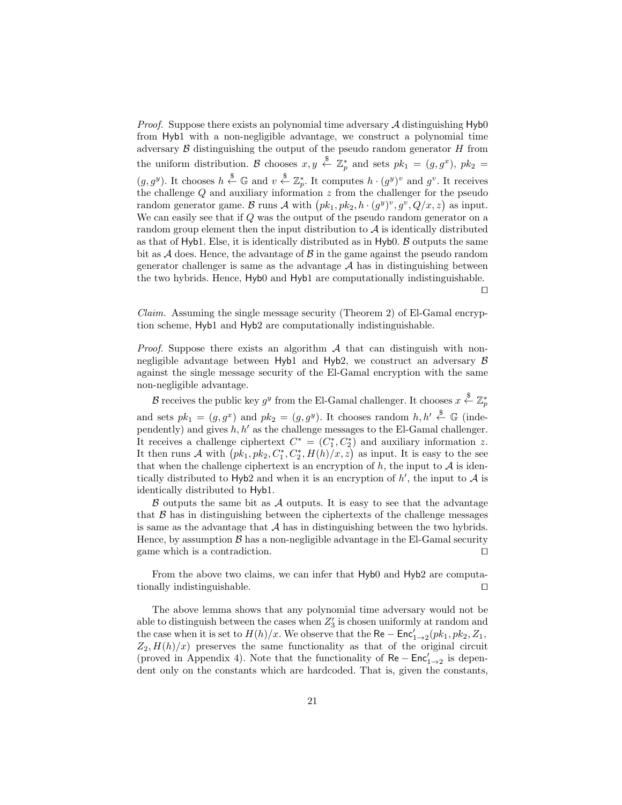*Proof.* Suppose there exists an polynomial time adversary  $A$  distinguishing  $Hyb0$ from Hyb1 with a non-negligible advantage, we construct a polynomial time adversary  $\beta$  distinguishing the output of the pseudo random generator  $H$  from the uniform distribution. B chooses  $x, y \stackrel{\$}{\leftarrow} \mathbb{Z}_p^*$  and sets  $pk_1 = (g, g^x)$ ,  $pk_2 =$  $(g, g^y)$ . It chooses  $h \stackrel{\$}{\leftarrow} \mathbb{G}$  and  $v \stackrel{\$}{\leftarrow} \mathbb{Z}_p^*$ . It computes  $h \cdot (g^y)^v$  and  $g^v$ . It receives the challenge Q and auxiliary information z from the challenger for the pseudo random generator game. B runs A with  $\left( pk_1, pk_2, h \cdot (g^y)^v, g^v, Q/x, z \right)$  as input. We can easily see that if Q was the output of the pseudo random generator on a random group element then the input distribution to  $A$  is identically distributed as that of Hyb1. Else, it is identically distributed as in  $Hyb0$ .  $\beta$  outputs the same bit as  $\mathcal A$  does. Hence, the advantage of  $\mathcal B$  in the game against the pseudo random generator challenger is same as the advantage  $A$  has in distinguishing between the two hybrids. Hence, Hyb0 and Hyb1 are computationally indistinguishable.  $\Box$ 

Claim. Assuming the single message security (Theorem 2) of El-Gamal encryption scheme, Hyb1 and Hyb2 are computationally indistinguishable.

*Proof.* Suppose there exists an algorithm  $A$  that can distinguish with nonnegligible advantage between Hyb1 and Hyb2, we construct an adversary  $\beta$ against the single message security of the El-Gamal encryption with the same non-negligible advantage.

 $\mathcal B$  receives the public key  $g^y$  from the El-Gamal challenger. It chooses  $x \stackrel{\$}{\leftarrow} \mathbb{Z}_p^*$ and sets  $pk_1 = (g, g^x)$  and  $pk_2 = (g, g^y)$ . It chooses random  $h, h' \stackrel{\$}{\leftarrow} \mathbb{G}$  (independently) and gives  $h, h'$  as the challenge messages to the El-Gamal challenger. It receives a challenge ciphertext  $C^* = (C_1^*, C_2^*)$  and auxiliary information z. It then runs A with  $(pk_1, pk_2, C_1^*, C_2^*, H(h)/x, z)$  as input. It is easy to the see that when the challenge ciphertext is an encryption of  $h$ , the input to  $\mathcal A$  is identically distributed to Hyb2 and when it is an encryption of  $h'$ , the input to  $A$  is identically distributed to Hyb1.

 $\beta$  outputs the same bit as  $\mathcal A$  outputs. It is easy to see that the advantage that  $\beta$  has in distinguishing between the ciphertexts of the challenge messages is same as the advantage that  $A$  has in distinguishing between the two hybrids. Hence, by assumption  $\beta$  has a non-negligible advantage in the El-Gamal security game which is a contradiction.  $\Box$ 

From the above two claims, we can infer that Hyb0 and Hyb2 are computationally indistinguishable.

The above lemma shows that any polynomial time adversary would not be able to distinguish between the cases when  $Z'_3$  is chosen uniformly at random and the case when it is set to  $H(h)/x$ . We observe that the  $\mathsf{Re} - \mathsf{Enc}'_{1\rightarrow 2}(pk_1, pk_2, Z_1,$  $Z_2$ ,  $H(h)/x$ ) preserves the same functionality as that of the original circuit (proved in Appendix 4). Note that the functionality of  $\text{Re} - \text{Enc}'_{1\rightarrow 2}$  is dependent only on the constants which are hardcoded. That is, given the constants,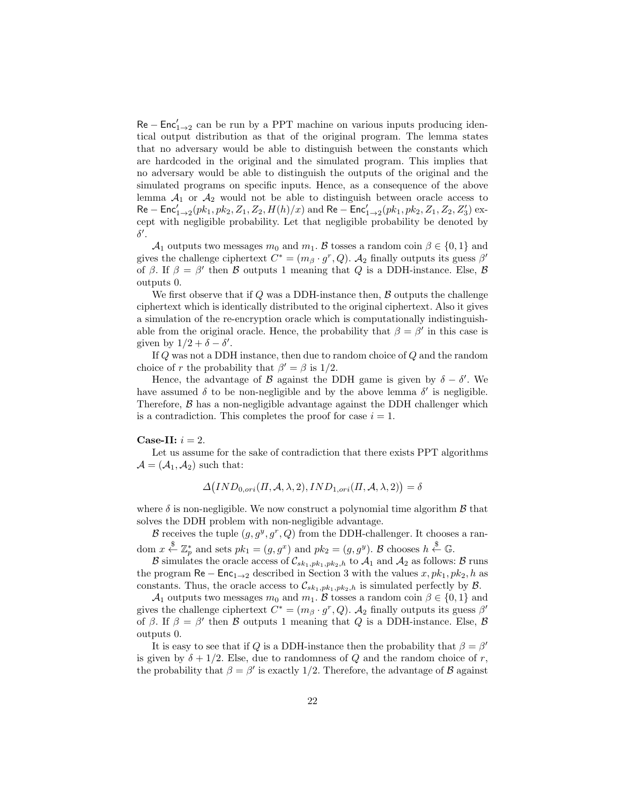$\text{Re} - \text{Enc}'_{1\rightarrow 2}$  can be run by a PPT machine on various inputs producing identical output distribution as that of the original program. The lemma states that no adversary would be able to distinguish between the constants which are hardcoded in the original and the simulated program. This implies that no adversary would be able to distinguish the outputs of the original and the simulated programs on specific inputs. Hence, as a consequence of the above lemma  $A_1$  or  $A_2$  would not be able to distinguish between oracle access to  $\mathsf{Re-Enc}_{1\to 2}^{\prime}(pk_1, pk_2, Z_1, Z_2, H(h)/x)$  and  $\mathsf{Re-Enc}_{1\to 2}^{\prime}(pk_1, pk_2, Z_1, Z_2, Z_3^{\prime})$  except with negligible probability. Let that negligible probability be denoted by  $\delta'$ .

A<sub>1</sub> outputs two messages  $m_0$  and  $m_1$ . B tosses a random coin  $\beta \in \{0,1\}$  and gives the challenge ciphertext  $C^* = (m_\beta \cdot g^r, Q)$ .  $\mathcal{A}_2$  finally outputs its guess  $\beta'$ of  $\beta$ . If  $\beta = \beta'$  then  $\beta$  outputs 1 meaning that  $Q$  is a DDH-instance. Else,  $\beta$ outputs 0.

We first observe that if  $Q$  was a DDH-instance then,  $B$  outputs the challenge ciphertext which is identically distributed to the original ciphertext. Also it gives a simulation of the re-encryption oracle which is computationally indistinguishable from the original oracle. Hence, the probability that  $\beta = \beta'$  in this case is given by  $1/2 + \delta - \delta'$ .

If Q was not a DDH instance, then due to random choice of Q and the random choice of r the probability that  $\beta' = \beta$  is 1/2.

Hence, the advantage of  $\beta$  against the DDH game is given by  $\delta - \delta'$ . We have assumed  $\delta$  to be non-negligible and by the above lemma  $\delta'$  is negligible. Therefore,  $\beta$  has a non-negligible advantage against the DDH challenger which is a contradiction. This completes the proof for case  $i = 1$ .

### Case-II:  $i = 2$ .

Let us assume for the sake of contradiction that there exists PPT algorithms  $\mathcal{A} = (\mathcal{A}_1, \mathcal{A}_2)$  such that:

$$
\Delta \big( IND_{0,ori}(\Pi, \mathcal{A}, \lambda, 2), IND_{1,ori}(\Pi, \mathcal{A}, \lambda, 2) \big) = \delta
$$

where  $\delta$  is non-negligible. We now construct a polynomial time algorithm  $\beta$  that solves the DDH problem with non-negligible advantage.

B receives the tuple  $(g, g^y, g^r, Q)$  from the DDH-challenger. It chooses a random  $x \stackrel{\$}{\leftarrow} \mathbb{Z}_p^*$  and sets  $pk_1 = (g, g^x)$  and  $pk_2 = (g, g^y)$ . B chooses  $h \stackrel{\$}{\leftarrow} \mathbb{G}$ .

B simulates the oracle access of  $\mathcal{C}_{sk_1,pk_1,pk_2,h}$  to  $\mathcal{A}_1$  and  $\mathcal{A}_2$  as follows: B runs the program  $\text{Re} - \text{Enc}_{1\rightarrow 2}$  described in Section 3 with the values x,  $pk_1$ ,  $pk_2$ , h as constants. Thus, the oracle access to  $\mathcal{C}_{sk_1,pk_1,pk_2,h}$  is simulated perfectly by  $\mathcal{B}$ .

A<sub>1</sub> outputs two messages  $m_0$  and  $m_1$ . B tosses a random coin  $\beta \in \{0,1\}$  and gives the challenge ciphertext  $C^* = (m_\beta \cdot g^r, Q)$ .  $\mathcal{A}_2$  finally outputs its guess  $\beta'$ of  $\beta$ . If  $\beta = \beta'$  then B outputs 1 meaning that Q is a DDH-instance. Else, B outputs 0.

It is easy to see that if Q is a DDH-instance then the probability that  $\beta = \beta'$ is given by  $\delta + 1/2$ . Else, due to randomness of Q and the random choice of r, the probability that  $\beta = \beta'$  is exactly 1/2. Therefore, the advantage of  $\beta$  against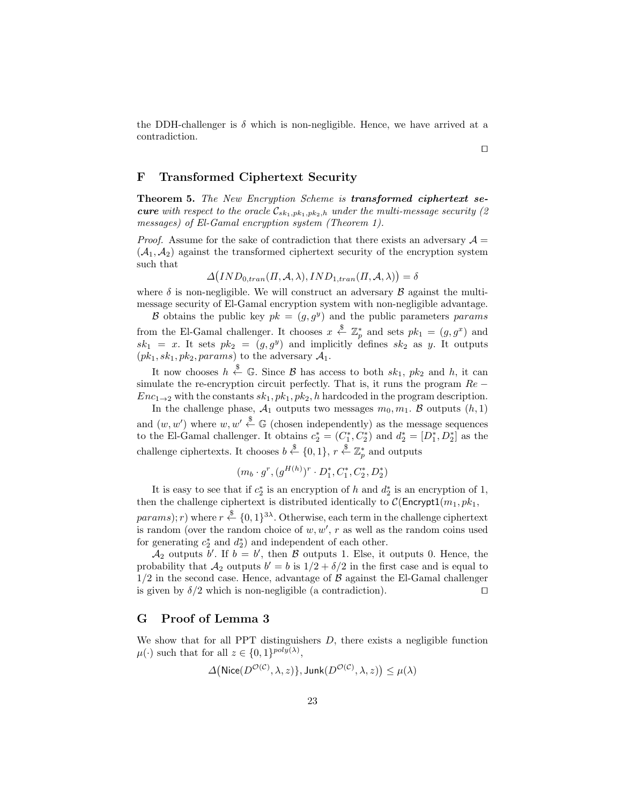the DDH-challenger is  $\delta$  which is non-negligible. Hence, we have arrived at a contradiction.

### F Transformed Ciphertext Security

Theorem 5. The New Encryption Scheme is transformed ciphertext se**cure** with respect to the oracle  $\mathcal{C}_{sk_1,pk_1,pk_2,h}$  under the multi-message security (2) messages) of El-Gamal encryption system (Theorem 1).

*Proof.* Assume for the sake of contradiction that there exists an adversary  $\mathcal{A} =$  $(\mathcal{A}_1, \mathcal{A}_2)$  against the transformed ciphertext security of the encryption system such that

$$
\Delta\big(IND_{0,tran}(H,\mathcal{A},\lambda),IND_{1,tran}(H,\mathcal{A},\lambda)\big) = \delta
$$

where  $\delta$  is non-negligible. We will construct an adversary  $\beta$  against the multimessage security of El-Gamal encryption system with non-negligible advantage.

B obtains the public key  $pk = (g, g^y)$  and the public parameters params from the El-Gamal challenger. It chooses  $x \stackrel{\$}{\leftarrow} \mathbb{Z}_p^*$  and sets  $pk_1 = (g, g^x)$  and  $sk_1 = x$ . It sets  $pk_2 = (g, g^y)$  and implicitly defines  $sk_2$  as y. It outputs  $(pk_1, sk_1, pk_2, params)$  to the adversary  $\mathcal{A}_1$ .

It now chooses  $h \stackrel{\$}{\leftarrow} \mathbb{G}$ . Since  $\mathcal{B}$  has access to both  $sk_1$ ,  $pk_2$  and  $h$ , it can simulate the re-encryption circuit perfectly. That is, it runs the program  $Re Enc_{1\rightarrow 2}$  with the constants  $sk_1, pk_1, pk_2, h$  hardcoded in the program description.

In the challenge phase,  $A_1$  outputs two messages  $m_0, m_1$ . B outputs  $(h, 1)$ and  $(w, w')$  where  $w, w' \stackrel{\$}{\leftarrow} \mathbb{G}$  (chosen independently) as the message sequences to the El-Gamal challenger. It obtains  $c_2^* = (C_1^*, C_2^*)$  and  $d_2^* = [D_1^*, D_2^*]$  as the challenge ciphertexts. It chooses  $b \stackrel{\$}{\leftarrow} \{0,1\}, r \stackrel{\$}{\leftarrow} \mathbb{Z}_p^*$  and outputs

$$
(m_b \cdot g^r, (g^{H(h)})^r \cdot D_1^*, C_1^*, C_2^*, D_2^*)
$$

It is easy to see that if  $c_2^*$  is an encryption of h and  $d_2^*$  is an encryption of 1, then the challenge ciphertext is distributed identically to  $C(\text{Encrypt1}(m_1, pk_1,$  $params); r)$  where  $r \stackrel{\$}{\leftarrow} \{0,1\}^{3\lambda}$ . Otherwise, each term in the challenge ciphertext is random (over the random choice of  $w, w', r$  as well as the random coins used

for generating  $c_2^*$  and  $d_2^*$ ) and independent of each other.  $\mathcal{A}_2$  outputs b'. If  $b = b'$ , then  $\beta$  outputs 1. Else, it outputs 0. Hence, the probability that  $A_2$  outputs  $b' = b$  is  $1/2 + \delta/2$  in the first case and is equal to  $1/2$  in the second case. Hence, advantage of  $\beta$  against the El-Gamal challenger

#### is given by  $\delta/2$  which is non-negligible (a contradiction).

### G Proof of Lemma 3

We show that for all  $PPT$  distinguishers  $D$ , there exists a negligible function  $\mu(\cdot)$  such that for all  $z \in \{0,1\}^{poly(\lambda)},$ 

$$
\Delta(\mathsf{ Nice}(D^{\mathcal{O}(\mathcal{C})}, \lambda, z)\}, \mathsf{Junk}(D^{\mathcal{O}(\mathcal{C})}, \lambda, z)) \leq \mu(\lambda)
$$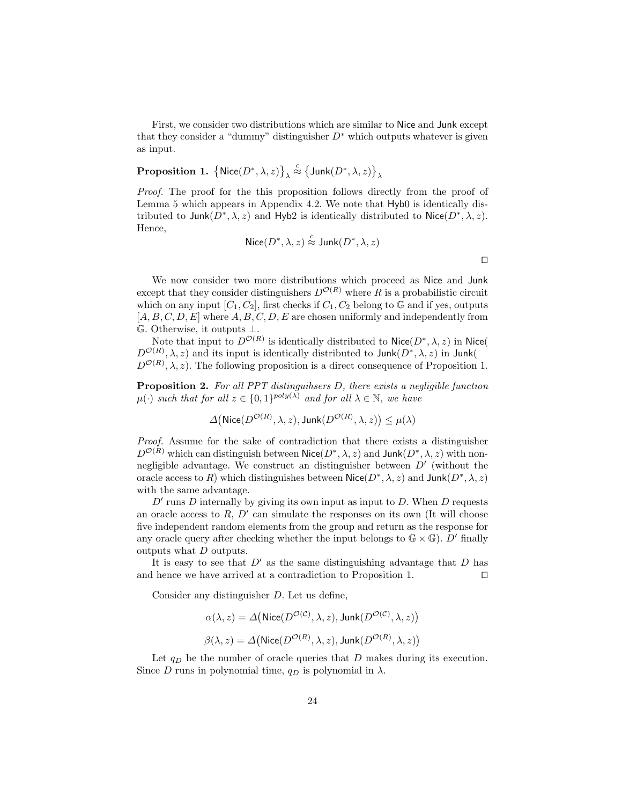First, we consider two distributions which are similar to Nice and Junk except that they consider a "dummy" distinguisher  $D^*$  which outputs whatever is given as input.

$$
{\bf Proposition \ 1.} \ \left\{{\sf Nice}(D^*,\lambda,z)\right\}_\lambda \stackrel{c}{\approx} \left\{{\sf Junk}(D^*,\lambda,z)\right\}_\lambda
$$

Proof. The proof for the this proposition follows directly from the proof of Lemma 5 which appears in Appendix 4.2. We note that Hyb0 is identically distributed to Junk $(D^*, \lambda, z)$  and Hyb2 is identically distributed to Nice $(D^*, \lambda, z)$ . Hence,

$$
\mathsf{Nice}(D^*,\lambda,z)\stackrel{c}{\approx} \mathsf{Junk}(D^*,\lambda,z)
$$

We now consider two more distributions which proceed as Nice and Junk except that they consider distinguishers  $D^{O(R)}$  where R is a probabilistic circuit which on any input  $[C_1, C_2]$ , first checks if  $C_1, C_2$  belong to G and if yes, outputs  $[A, B, C, D, E]$  where  $A, B, C, D, E$  are chosen uniformly and independently from G. Otherwise, it outputs ⊥.

Note that input to  $D^{O(R)}$  is identically distributed to Nice( $D^*, \lambda, z$ ) in Nice(  $D^{O(R)}$ ,  $\lambda$ , z) and its input is identically distributed to Junk $(D^*, \lambda, z)$  in Junk(  $D^{\mathcal{O}(R)}$ ,  $\lambda$ , z). The following proposition is a direct consequence of Proposition 1.

Proposition 2. For all PPT distinguihsers D, there exists a negligible function  $\mu(\cdot)$  such that for all  $z \in \{0,1\}^{poly(\lambda)}$  and for all  $\lambda \in \mathbb{N}$ , we have

$$
\Delta(\textsf{Nice}(D^{\mathcal{O}(R)}, \lambda, z), \textsf{Junk}(D^{\mathcal{O}(R)}, \lambda, z)) \leq \mu(\lambda)
$$

Proof. Assume for the sake of contradiction that there exists a distinguisher  $D^{O(R)}$  which can distinguish between Nice $(D^*,\lambda,z)$  and Junk $(D^*,\lambda,z)$  with nonnegligible advantage. We construct an distinguisher between  $D'$  (without the oracle access to R) which distinguishes between  $\mathsf{Nice}(D^*,\lambda,z)$  and  $\mathsf{Junk}(D^*,\lambda,z)$ with the same advantage.

 $D'$  runs  $D$  internally by giving its own input as input to  $D$ . When  $D$  requests an oracle access to  $R, D'$  can simulate the responses on its own (It will choose five independent random elements from the group and return as the response for any oracle query after checking whether the input belongs to  $\mathbb{G} \times \mathbb{G}$ ). D' finally outputs what D outputs.

It is easy to see that  $D'$  as the same distinguishing advantage that D has and hence we have arrived at a contradiction to Proposition 1.  $\Box$ 

Consider any distinguisher D. Let us define,

$$
\alpha(\lambda, z) = \Delta \big( \text{Nice}(D^{\mathcal{O}(\mathcal{C})}, \lambda, z), \text{Junk}(D^{\mathcal{O}(\mathcal{C})}, \lambda, z) \big)
$$

$$
\beta(\lambda, z) = \Delta \big( \text{Nice}(D^{\mathcal{O}(R)}, \lambda, z), \text{Junk}(D^{\mathcal{O}(R)}, \lambda, z) \big)
$$

Let  $q_D$  be the number of oracle queries that  $D$  makes during its execution. Since D runs in polynomial time,  $q_D$  is polynomial in  $\lambda$ .

 $\Box$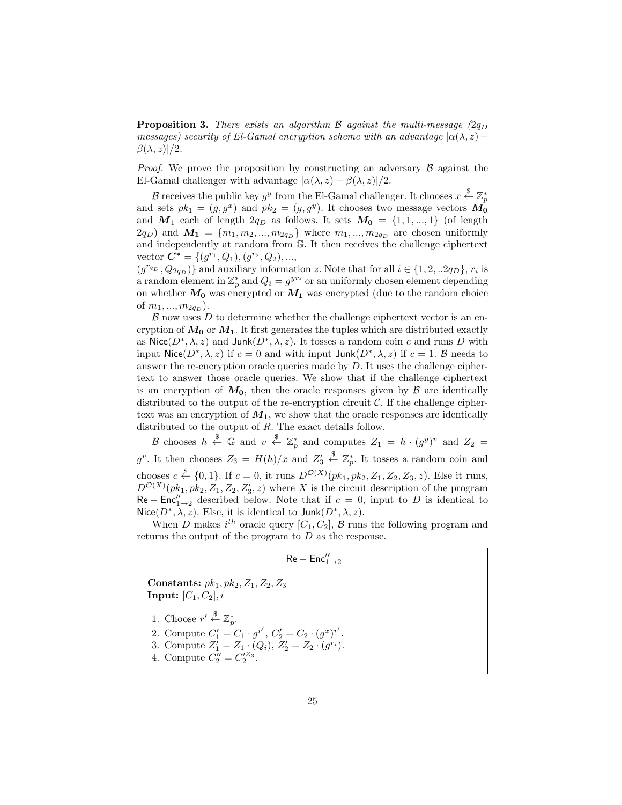**Proposition 3.** There exists an algorithm B against the multi-message  $(2q_D)$ messages) security of El-Gamal encryption scheme with an advantage  $| \alpha(\lambda, z)$  −  $\beta(\lambda, z)/2$ .

*Proof.* We prove the proposition by constructing an adversary  $\beta$  against the El-Gamal challenger with advantage  $|\alpha(\lambda, z) - \beta(\lambda, z)|/2$ .

 $\mathcal B$  receives the public key  $g^y$  from the El-Gamal challenger. It chooses  $x \stackrel{\$}{\leftarrow} \mathbb{Z}_p^*$ and sets  $pk_1 = (g, g^x)$  and  $pk_2 = (g, g^y)$ . It chooses two message vectors  $\mathbf{M_0}$ and  $M_1$  each of length  $2q_D$  as follows. It sets  $M_0 = \{1, 1, ..., 1\}$  (of length  $(2q_D)$  and  $M_1 = \{m_1, m_2, ..., m_{2q_D}\}\$  where  $m_1, ..., m_{2q_D}$  are chosen uniformly and independently at random from G. It then receives the challenge ciphertext vector  $\mathbf{C}^* = \{ (g^{r_1}, Q_1), (g^{r_2}, Q_2), ...,$ 

 $(g^{r_{q_D}}, Q_{2q_D})\}$  and auxiliary information z. Note that for all  $i \in \{1, 2, ...2q_D\}, r_i$  is a random element in  $\mathbb{Z}_p^*$  and  $Q_i = g^{yr_i}$  or an uniformly chosen element depending on whether  $M_0$  was encrypted or  $M_1$  was encrypted (due to the random choice of  $m_1, ..., m_{2q_D}$ ).

 $\beta$  now uses  $D$  to determine whether the challenge ciphertext vector is an encryption of  $M_0$  or  $M_1$ . It first generates the tuples which are distributed exactly as Nice $(D^*,\lambda,z)$  and Junk $(D^*,\lambda,z)$ . It tosses a random coin c and runs D with input Nice( $D^*, \lambda, z$ ) if  $c = 0$  and with input Junk $(D^*, \lambda, z)$  if  $c = 1$ . B needs to answer the re-encryption oracle queries made by  $D$ . It uses the challenge ciphertext to answer those oracle queries. We show that if the challenge ciphertext is an encryption of  $M_0$ , then the oracle responses given by  $\beta$  are identically distributed to the output of the re-encryption circuit  $\mathcal{C}$ . If the challenge ciphertext was an encryption of  $M_1$ , we show that the oracle responses are identically distributed to the output of R. The exact details follow.

B chooses  $h \stackrel{\$}{\leftarrow} \mathbb{G}$  and  $v \stackrel{\$}{\leftarrow} \mathbb{Z}_p^*$  and computes  $Z_1 = h \cdot (g^y)^v$  and  $Z_2 =$  $g^v$ . It then chooses  $Z_3 = H(h)/x$  and  $Z'_3$  $\stackrel{\$}{\leftarrow} \mathbb{Z}_p^*$ . It tosses a random coin and chooses  $c \stackrel{\$}{\leftarrow} \{0,1\}$ . If  $c = 0$ , it runs  $D^{\mathcal{O}(X)}(pk_1, pk_2, Z_1, Z_2, Z_3, z)$ . Else it runs,  $D^{\mathcal{O}(X)}(pk_1, pk_2, Z_1, Z_2, Z'_3, z)$  where X is the circuit description of the program  $\text{Re} - \text{Enc}_{1\rightarrow 2}^{\prime\prime}$  described below. Note that if  $c = 0$ , input to D is identical to Nice( $D^*, \lambda, z$ ). Else, it is identical to Junk( $D^*, \lambda, z$ ).

When D makes  $i^{th}$  oracle query  $[C_1, C_2]$ , B runs the following program and returns the output of the program to D as the response.

$$
\mathsf{Re-Enc}''_{1\to 2}
$$

Constants:  $pk_1, pk_2, Z_1, Z_2, Z_3$ Input:  $[C_1, C_2]$ , i

- 1. Choose  $r' \overset{\$}{\leftarrow} \mathbb{Z}_p^*$ .
- 2. Compute  $C'_1 = C_1 \cdot g^{r'}$ ,  $C'_2 = C_2 \cdot (g^x)^{r'}$ .
- 3. Compute  $Z'_1 = Z_1 \cdot (Q_i)$ ,  $Z'_2 = Z_2 \cdot (g^{r_i})$ .
- 4. Compute  $C_2'' = C_2'^{Z_3}$ .